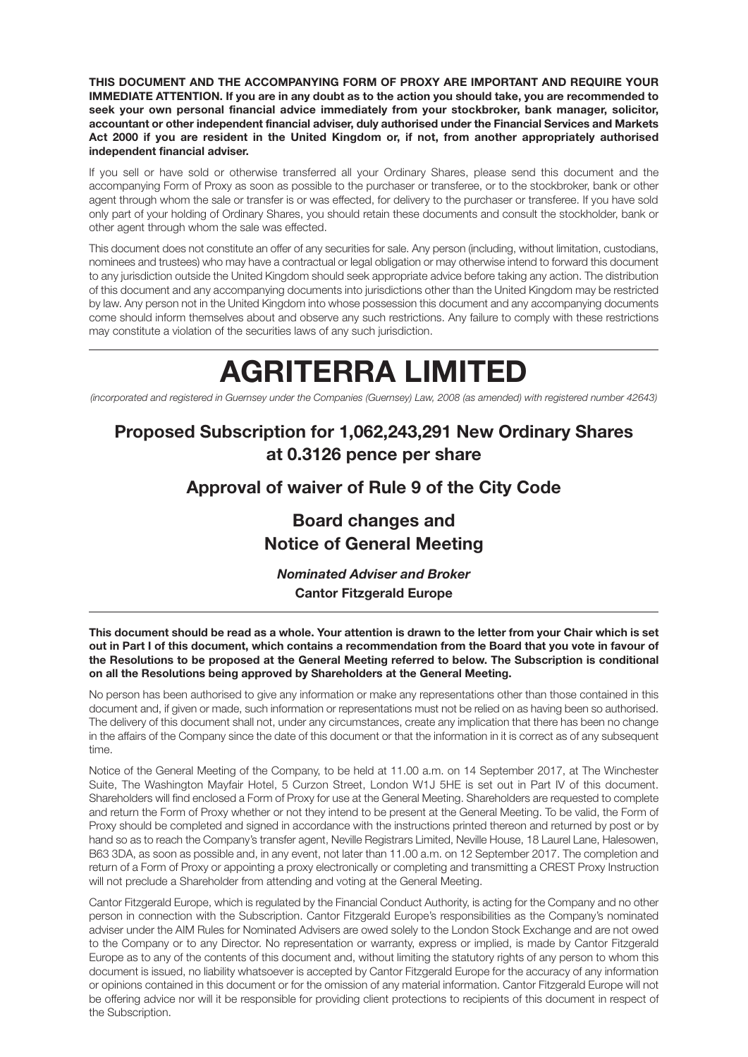**THIS DOCUMENT AND THE ACCOMPANYING FORM OF PROXY ARE IMPORTANT AND REQUIRE YOUR IMMEDIATE ATTENTION. If you are in any doubt as to the action you should take, you are recommended to seek your own personal financial advice immediately from your stockbroker, bank manager, solicitor, accountant or other independent financial adviser, duly authorised under the Financial Services and Markets Act 2000 if you are resident in the United Kingdom or, if not, from another appropriately authorised independent financial adviser.**

If you sell or have sold or otherwise transferred all your Ordinary Shares, please send this document and the accompanying Form of Proxy as soon as possible to the purchaser or transferee, or to the stockbroker, bank or other agent through whom the sale or transfer is or was effected, for delivery to the purchaser or transferee. If you have sold only part of your holding of Ordinary Shares, you should retain these documents and consult the stockholder, bank or other agent through whom the sale was effected.

This document does not constitute an offer of any securities for sale. Any person (including, without limitation, custodians, nominees and trustees) who may have a contractual or legal obligation or may otherwise intend to forward this document to any jurisdiction outside the United Kingdom should seek appropriate advice before taking any action. The distribution of this document and any accompanying documents into jurisdictions other than the United Kingdom may be restricted by law. Any person not in the United Kingdom into whose possession this document and any accompanying documents come should inform themselves about and observe any such restrictions. Any failure to comply with these restrictions may constitute a violation of the securities laws of any such jurisdiction.

# **AGRITERRA LIMITED**

*(incorporated and registered in Guernsey under the Companies (Guernsey) Law, 2008 (as amended) with registered number 42643)*

# **Proposed Subscription for 1,062,243,291 New Ordinary Shares at 0.3126 pence per share**

## **Approval of waiver of Rule 9 of the City Code**

# **Board changes and Notice of General Meeting**

*Nominated Adviser and Broker* **Cantor Fitzgerald Europe**

**This document should be read as a whole. Your attention is drawn to the letter from your Chair which is set out in Part I of this document, which contains a recommendation from the Board that you vote in favour of the Resolutions to be proposed at the General Meeting referred to below. The Subscription is conditional on all the Resolutions being approved by Shareholders at the General Meeting.**

No person has been authorised to give any information or make any representations other than those contained in this document and, if given or made, such information or representations must not be relied on as having been so authorised. The delivery of this document shall not, under any circumstances, create any implication that there has been no change in the affairs of the Company since the date of this document or that the information in it is correct as of any subsequent time.

Notice of the General Meeting of the Company, to be held at 11.00 a.m. on 14 September 2017, at The Winchester Suite, The Washington Mayfair Hotel, 5 Curzon Street, London W1J 5HE is set out in Part IV of this document. Shareholders will find enclosed a Form of Proxy for use at the General Meeting. Shareholders are requested to complete and return the Form of Proxy whether or not they intend to be present at the General Meeting. To be valid, the Form of Proxy should be completed and signed in accordance with the instructions printed thereon and returned by post or by hand so as to reach the Company's transfer agent, Neville Registrars Limited, Neville House, 18 Laurel Lane, Halesowen, B63 3DA, as soon as possible and, in any event, not later than 11.00 a.m. on 12 September 2017. The completion and return of a Form of Proxy or appointing a proxy electronically or completing and transmitting a CREST Proxy Instruction will not preclude a Shareholder from attending and voting at the General Meeting.

Cantor Fitzgerald Europe, which is regulated by the Financial Conduct Authority, is acting for the Company and no other person in connection with the Subscription. Cantor Fitzgerald Europe's responsibilities as the Company's nominated adviser under the AIM Rules for Nominated Advisers are owed solely to the London Stock Exchange and are not owed to the Company or to any Director. No representation or warranty, express or implied, is made by Cantor Fitzgerald Europe as to any of the contents of this document and, without limiting the statutory rights of any person to whom this document is issued, no liability whatsoever is accepted by Cantor Fitzgerald Europe for the accuracy of any information or opinions contained in this document or for the omission of any material information. Cantor Fitzgerald Europe will not be offering advice nor will it be responsible for providing client protections to recipients of this document in respect of the Subscription.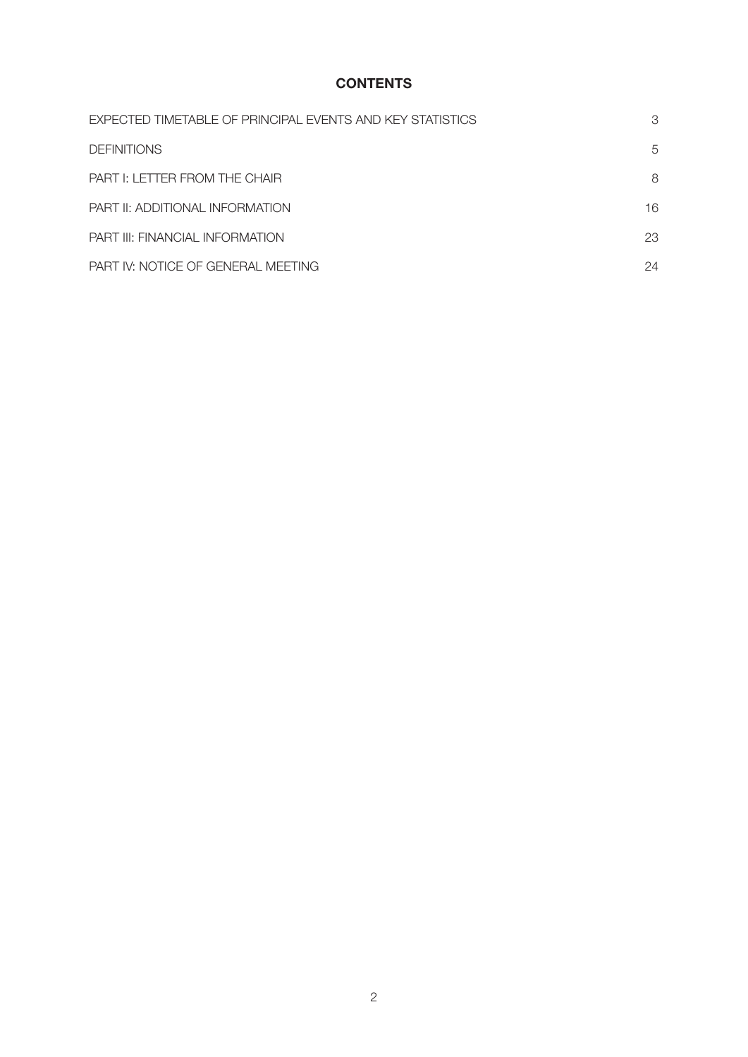### **CONTENTS**

| EXPECTED TIMETABLE OF PRINCIPAL EVENTS AND KEY STATISTICS | 3  |
|-----------------------------------------------------------|----|
| <b>DEFINITIONS</b>                                        | 5  |
| PART I: LETTER FROM THE CHAIR                             | 8  |
| PART II: ADDITIONAL INFORMATION                           | 16 |
| <b>PART III: FINANCIAL INFORMATION</b>                    | 23 |
| PART IV: NOTICE OF GENERAL MEETING                        | 24 |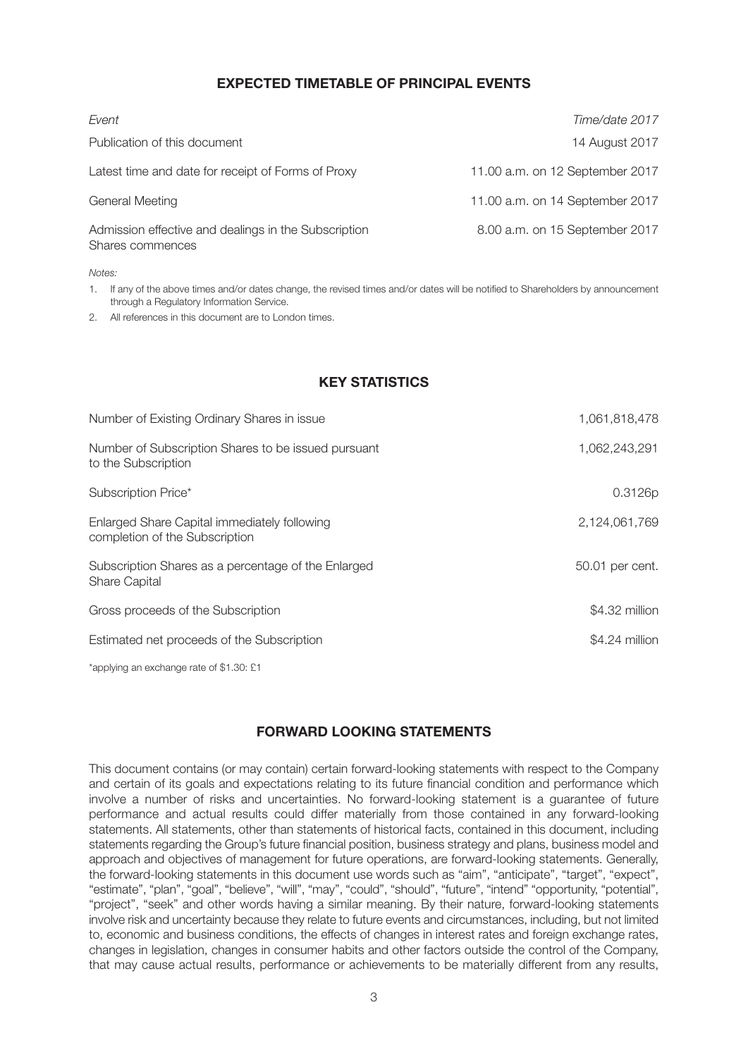#### **EXPECTED TIMETABLE OF PRINCIPAL EVENTS**

| Event                                                                    | Time/date 2017                  |
|--------------------------------------------------------------------------|---------------------------------|
| Publication of this document                                             | 14 August 2017                  |
| Latest time and date for receipt of Forms of Proxy                       | 11.00 a.m. on 12 September 2017 |
| <b>General Meeting</b>                                                   | 11.00 a.m. on 14 September 2017 |
| Admission effective and dealings in the Subscription<br>Shares commences | 8.00 a.m. on 15 September 2017  |

#### *Notes:*

1. If any of the above times and/or dates change, the revised times and/or dates will be notified to Shareholders by announcement through a Regulatory Information Service.

2. All references in this document are to London times.

### **KEY STATISTICS**

| Number of Existing Ordinary Shares in issue                                    | 1,061,818,478   |
|--------------------------------------------------------------------------------|-----------------|
| Number of Subscription Shares to be issued pursuant<br>to the Subscription     | 1,062,243,291   |
| Subscription Price*                                                            | 0.3126p         |
| Enlarged Share Capital immediately following<br>completion of the Subscription | 2,124,061,769   |
| Subscription Shares as a percentage of the Enlarged<br><b>Share Capital</b>    | 50.01 per cent. |
| Gross proceeds of the Subscription                                             | \$4.32 million  |
| Estimated net proceeds of the Subscription                                     | $$4.24$ million |
|                                                                                |                 |

\*applying an exchange rate of \$1.30: £1

#### **FORWARD LOOKING STATEMENTS**

This document contains (or may contain) certain forward-looking statements with respect to the Company and certain of its goals and expectations relating to its future financial condition and performance which involve a number of risks and uncertainties. No forward-looking statement is a guarantee of future performance and actual results could differ materially from those contained in any forward-looking statements. All statements, other than statements of historical facts, contained in this document, including statements regarding the Group's future financial position, business strategy and plans, business model and approach and objectives of management for future operations, are forward-looking statements. Generally, the forward-looking statements in this document use words such as "aim", "anticipate", "target", "expect", "estimate", "plan", "goal", "believe", "will", "may", "could", "should", "future", "intend" "opportunity, "potential", "project", "seek" and other words having a similar meaning. By their nature, forward-looking statements involve risk and uncertainty because they relate to future events and circumstances, including, but not limited to, economic and business conditions, the effects of changes in interest rates and foreign exchange rates, changes in legislation, changes in consumer habits and other factors outside the control of the Company, that may cause actual results, performance or achievements to be materially different from any results,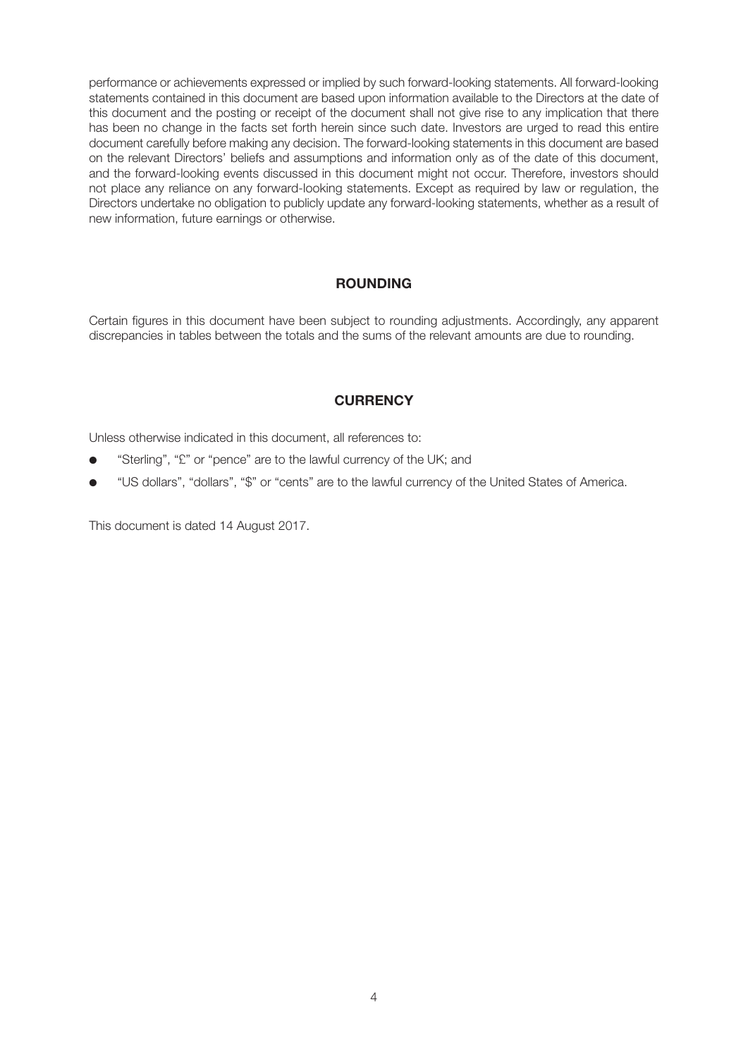performance or achievements expressed or implied by such forward-looking statements. All forward-looking statements contained in this document are based upon information available to the Directors at the date of this document and the posting or receipt of the document shall not give rise to any implication that there has been no change in the facts set forth herein since such date. Investors are urged to read this entire document carefully before making any decision. The forward-looking statements in this document are based on the relevant Directors' beliefs and assumptions and information only as of the date of this document, and the forward-looking events discussed in this document might not occur. Therefore, investors should not place any reliance on any forward-looking statements. Except as required by law or regulation, the Directors undertake no obligation to publicly update any forward-looking statements, whether as a result of new information, future earnings or otherwise.

#### **ROUNDING**

Certain figures in this document have been subject to rounding adjustments. Accordingly, any apparent discrepancies in tables between the totals and the sums of the relevant amounts are due to rounding.

### **CURRENCY**

Unless otherwise indicated in this document, all references to:

- "Sterling", "£" or "pence" are to the lawful currency of the UK; and
- "US dollars", "dollars", "\$" or "cents" are to the lawful currency of the United States of America.

This document is dated 14 August 2017.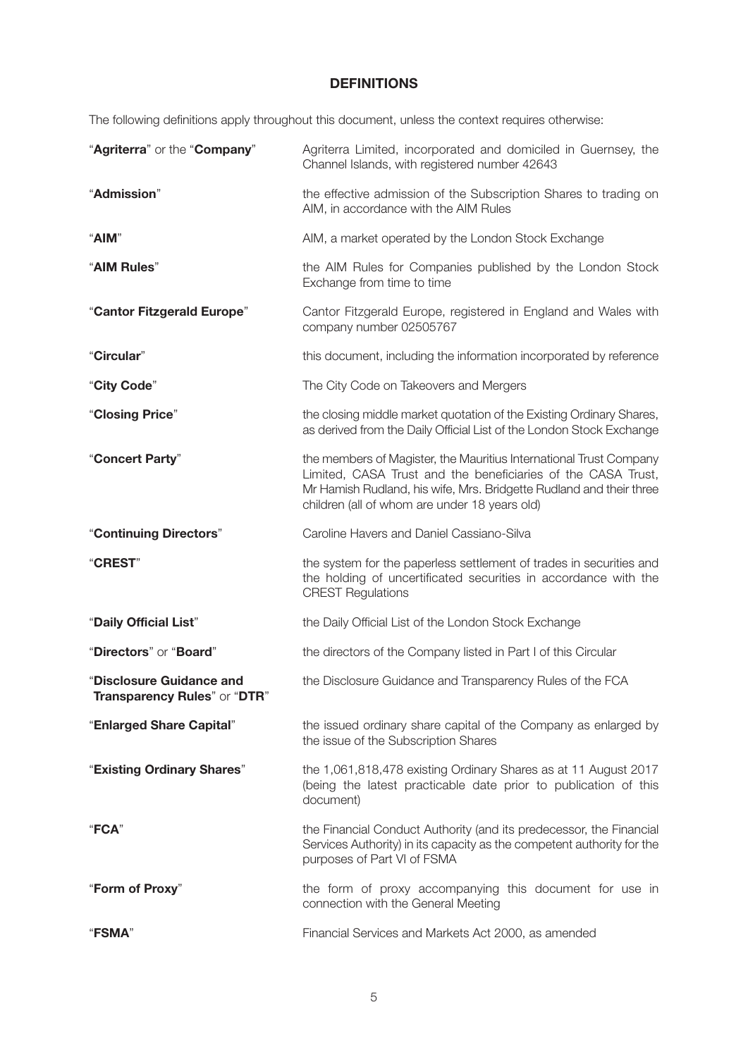### **DEFINITIONS**

The following definitions apply throughout this document, unless the context requires otherwise:

| "Agriterra" or the "Company"                             | Agriterra Limited, incorporated and domiciled in Guernsey, the<br>Channel Islands, with registered number 42643                                                                                                                                            |
|----------------------------------------------------------|------------------------------------------------------------------------------------------------------------------------------------------------------------------------------------------------------------------------------------------------------------|
| "Admission"                                              | the effective admission of the Subscription Shares to trading on<br>AIM, in accordance with the AIM Rules                                                                                                                                                  |
| "AIM"                                                    | AIM, a market operated by the London Stock Exchange                                                                                                                                                                                                        |
| "AIM Rules"                                              | the AIM Rules for Companies published by the London Stock<br>Exchange from time to time                                                                                                                                                                    |
| "Cantor Fitzgerald Europe"                               | Cantor Fitzgerald Europe, registered in England and Wales with<br>company number 02505767                                                                                                                                                                  |
| "Circular"                                               | this document, including the information incorporated by reference                                                                                                                                                                                         |
| "City Code"                                              | The City Code on Takeovers and Mergers                                                                                                                                                                                                                     |
| "Closing Price"                                          | the closing middle market quotation of the Existing Ordinary Shares,<br>as derived from the Daily Official List of the London Stock Exchange                                                                                                               |
| "Concert Party"                                          | the members of Magister, the Mauritius International Trust Company<br>Limited, CASA Trust and the beneficiaries of the CASA Trust,<br>Mr Hamish Rudland, his wife, Mrs. Bridgette Rudland and their three<br>children (all of whom are under 18 years old) |
| "Continuing Directors"                                   | Caroline Havers and Daniel Cassiano-Silva                                                                                                                                                                                                                  |
| "CREST"                                                  | the system for the paperless settlement of trades in securities and<br>the holding of uncertificated securities in accordance with the<br><b>CREST Regulations</b>                                                                                         |
| "Daily Official List"                                    | the Daily Official List of the London Stock Exchange                                                                                                                                                                                                       |
| "Directors" or "Board"                                   | the directors of the Company listed in Part I of this Circular                                                                                                                                                                                             |
| "Disclosure Guidance and<br>Transparency Rules" or "DTR" | the Disclosure Guidance and Transparency Rules of the FCA                                                                                                                                                                                                  |
| "Enlarged Share Capital"                                 | the issued ordinary share capital of the Company as enlarged by<br>the issue of the Subscription Shares                                                                                                                                                    |
| "Existing Ordinary Shares"                               | the 1,061,818,478 existing Ordinary Shares as at 11 August 2017<br>(being the latest practicable date prior to publication of this<br>document)                                                                                                            |
| "FCA"                                                    | the Financial Conduct Authority (and its predecessor, the Financial<br>Services Authority) in its capacity as the competent authority for the<br>purposes of Part VI of FSMA                                                                               |
| "Form of Proxy"                                          | the form of proxy accompanying this document for use in<br>connection with the General Meeting                                                                                                                                                             |
| <b>"FSMA"</b>                                            | Financial Services and Markets Act 2000, as amended                                                                                                                                                                                                        |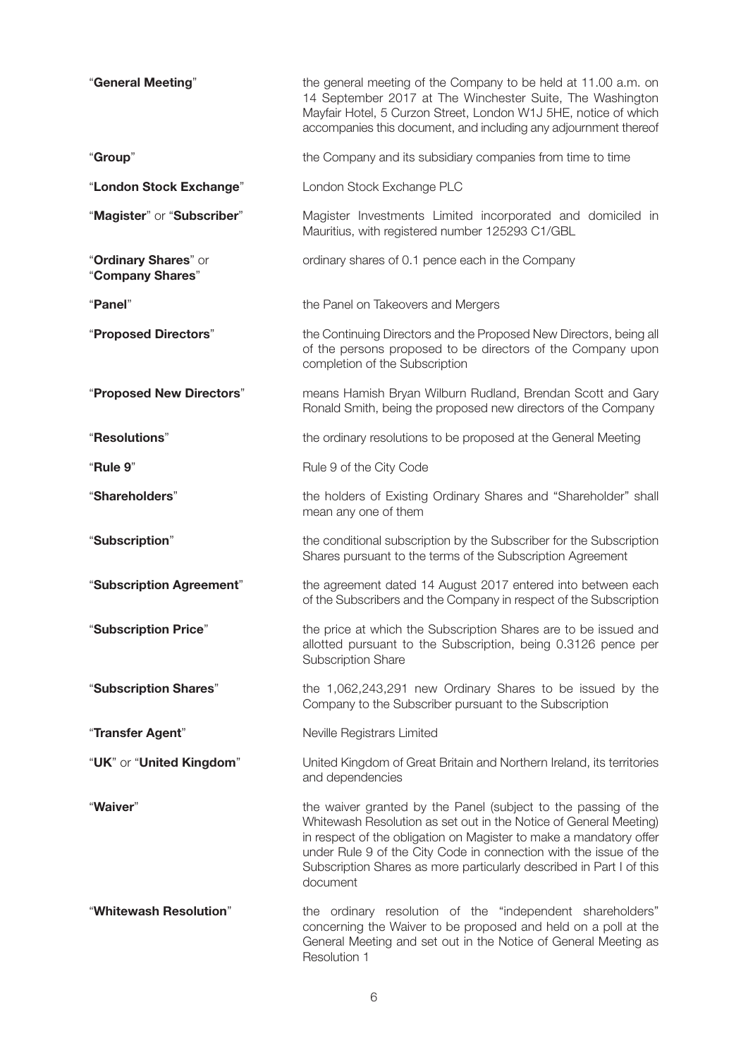| "General Meeting"                        | the general meeting of the Company to be held at 11.00 a.m. on<br>14 September 2017 at The Winchester Suite, The Washington<br>Mayfair Hotel, 5 Curzon Street, London W1J 5HE, notice of which<br>accompanies this document, and including any adjournment thereof                                                                                                 |
|------------------------------------------|--------------------------------------------------------------------------------------------------------------------------------------------------------------------------------------------------------------------------------------------------------------------------------------------------------------------------------------------------------------------|
| "Group"                                  | the Company and its subsidiary companies from time to time                                                                                                                                                                                                                                                                                                         |
| "London Stock Exchange"                  | London Stock Exchange PLC                                                                                                                                                                                                                                                                                                                                          |
| "Magister" or "Subscriber"               | Magister Investments Limited incorporated and domiciled in<br>Mauritius, with registered number 125293 C1/GBL                                                                                                                                                                                                                                                      |
| "Ordinary Shares" or<br>"Company Shares" | ordinary shares of 0.1 pence each in the Company                                                                                                                                                                                                                                                                                                                   |
| "Panel"                                  | the Panel on Takeovers and Mergers                                                                                                                                                                                                                                                                                                                                 |
| "Proposed Directors"                     | the Continuing Directors and the Proposed New Directors, being all<br>of the persons proposed to be directors of the Company upon<br>completion of the Subscription                                                                                                                                                                                                |
| "Proposed New Directors"                 | means Hamish Bryan Wilburn Rudland, Brendan Scott and Gary<br>Ronald Smith, being the proposed new directors of the Company                                                                                                                                                                                                                                        |
| "Resolutions"                            | the ordinary resolutions to be proposed at the General Meeting                                                                                                                                                                                                                                                                                                     |
| "Rule 9"                                 | Rule 9 of the City Code                                                                                                                                                                                                                                                                                                                                            |
| "Shareholders"                           | the holders of Existing Ordinary Shares and "Shareholder" shall<br>mean any one of them                                                                                                                                                                                                                                                                            |
| "Subscription"                           | the conditional subscription by the Subscriber for the Subscription<br>Shares pursuant to the terms of the Subscription Agreement                                                                                                                                                                                                                                  |
| "Subscription Agreement"                 | the agreement dated 14 August 2017 entered into between each<br>of the Subscribers and the Company in respect of the Subscription                                                                                                                                                                                                                                  |
| "Subscription Price"                     | the price at which the Subscription Shares are to be issued and<br>allotted pursuant to the Subscription, being 0.3126 pence per<br><b>Subscription Share</b>                                                                                                                                                                                                      |
| "Subscription Shares"                    | the 1,062,243,291 new Ordinary Shares to be issued by the<br>Company to the Subscriber pursuant to the Subscription                                                                                                                                                                                                                                                |
| "Transfer Agent"                         | Neville Registrars Limited                                                                                                                                                                                                                                                                                                                                         |
| "UK" or "United Kingdom"                 | United Kingdom of Great Britain and Northern Ireland, its territories<br>and dependencies                                                                                                                                                                                                                                                                          |
| "Waiver"                                 | the waiver granted by the Panel (subject to the passing of the<br>Whitewash Resolution as set out in the Notice of General Meeting)<br>in respect of the obligation on Magister to make a mandatory offer<br>under Rule 9 of the City Code in connection with the issue of the<br>Subscription Shares as more particularly described in Part I of this<br>document |
| "Whitewash Resolution"                   | the ordinary resolution of the "independent shareholders"<br>concerning the Waiver to be proposed and held on a poll at the<br>General Meeting and set out in the Notice of General Meeting as<br>Resolution 1                                                                                                                                                     |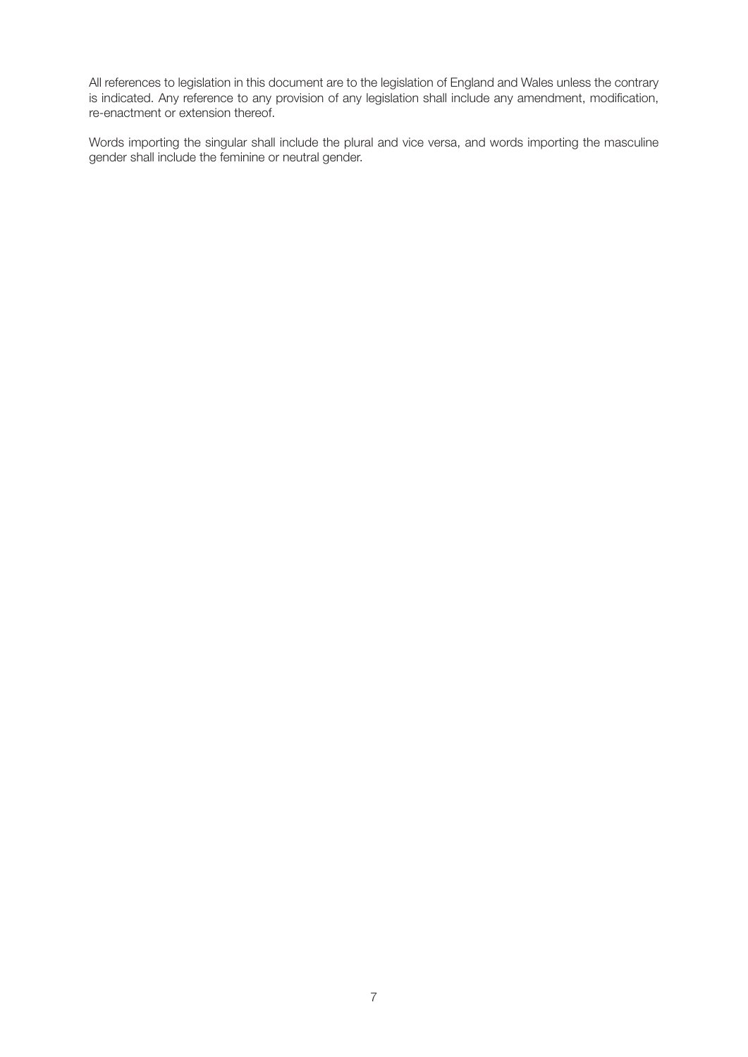All references to legislation in this document are to the legislation of England and Wales unless the contrary is indicated. Any reference to any provision of any legislation shall include any amendment, modification, re-enactment or extension thereof.

Words importing the singular shall include the plural and vice versa, and words importing the masculine gender shall include the feminine or neutral gender.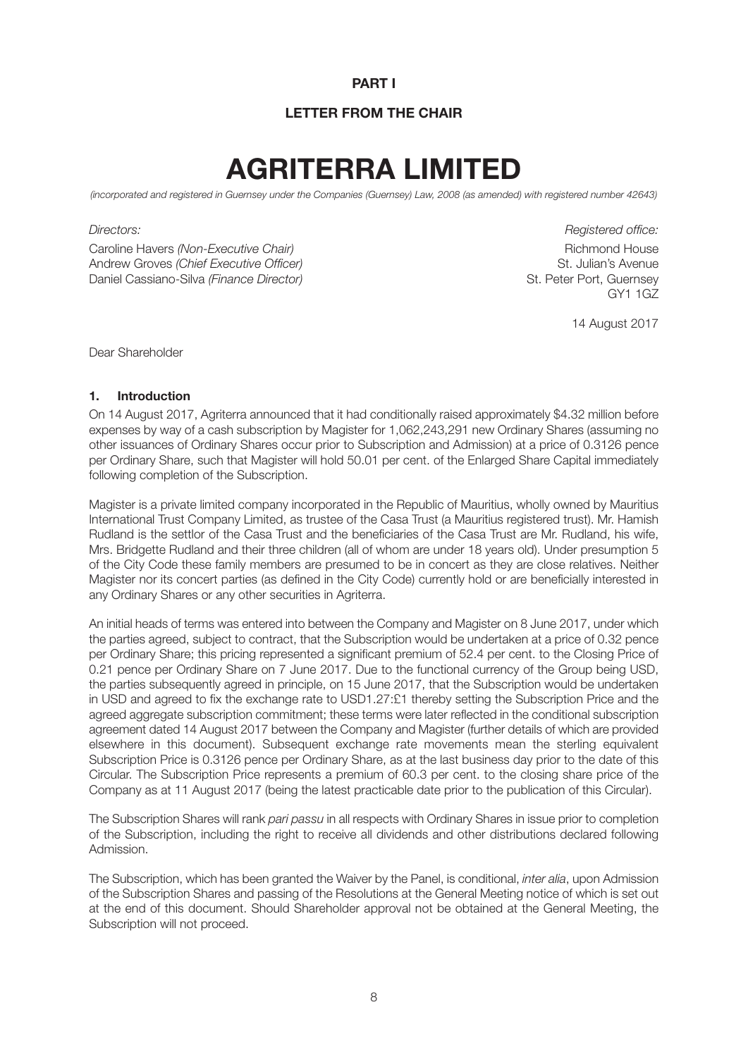#### **PART I**

#### **LETTER FROM THE CHAIR**

# **AGRITERRA LIMITED**

*(incorporated and registered in Guernsey under the Companies (Guernsey) Law, 2008 (as amended) with registered number 42643)*

Caroline Havers *(Non-Executive Chair)* **Richmond House** Richmond House Richmond House Andrew Groves *(Chief Executive Officer)* St. Julian's Avenue Daniel Cassiano-Silva (Finance Director) St. Peter Port, Guernsey St. Peter Port, Guernsey

*Directors: Registered office:* GY1 1GZ

14 August 2017

Dear Shareholder

#### **1. Introduction**

On 14 August 2017, Agriterra announced that it had conditionally raised approximately \$4.32 million before expenses by way of a cash subscription by Magister for 1,062,243,291 new Ordinary Shares (assuming no other issuances of Ordinary Shares occur prior to Subscription and Admission) at a price of 0.3126 pence per Ordinary Share, such that Magister will hold 50.01 per cent. of the Enlarged Share Capital immediately following completion of the Subscription.

Magister is a private limited company incorporated in the Republic of Mauritius, wholly owned by Mauritius International Trust Company Limited, as trustee of the Casa Trust (a Mauritius registered trust). Mr. Hamish Rudland is the settlor of the Casa Trust and the beneficiaries of the Casa Trust are Mr. Rudland, his wife, Mrs. Bridgette Rudland and their three children (all of whom are under 18 years old). Under presumption 5 of the City Code these family members are presumed to be in concert as they are close relatives. Neither Magister nor its concert parties (as defined in the City Code) currently hold or are beneficially interested in any Ordinary Shares or any other securities in Agriterra.

An initial heads of terms was entered into between the Company and Magister on 8 June 2017, under which the parties agreed, subject to contract, that the Subscription would be undertaken at a price of 0.32 pence per Ordinary Share; this pricing represented a significant premium of 52.4 per cent. to the Closing Price of 0.21 pence per Ordinary Share on 7 June 2017. Due to the functional currency of the Group being USD. the parties subsequently agreed in principle, on 15 June 2017, that the Subscription would be undertaken in USD and agreed to fix the exchange rate to USD1.27:£1 thereby setting the Subscription Price and the agreed aggregate subscription commitment; these terms were later reflected in the conditional subscription agreement dated 14 August 2017 between the Company and Magister (further details of which are provided elsewhere in this document). Subsequent exchange rate movements mean the sterling equivalent Subscription Price is 0.3126 pence per Ordinary Share, as at the last business day prior to the date of this Circular. The Subscription Price represents a premium of 60.3 per cent. to the closing share price of the Company as at 11 August 2017 (being the latest practicable date prior to the publication of this Circular).

The Subscription Shares will rank *pari passu* in all respects with Ordinary Shares in issue prior to completion of the Subscription, including the right to receive all dividends and other distributions declared following Admission.

The Subscription, which has been granted the Waiver by the Panel, is conditional, *inter alia*, upon Admission of the Subscription Shares and passing of the Resolutions at the General Meeting notice of which is set out at the end of this document. Should Shareholder approval not be obtained at the General Meeting, the Subscription will not proceed.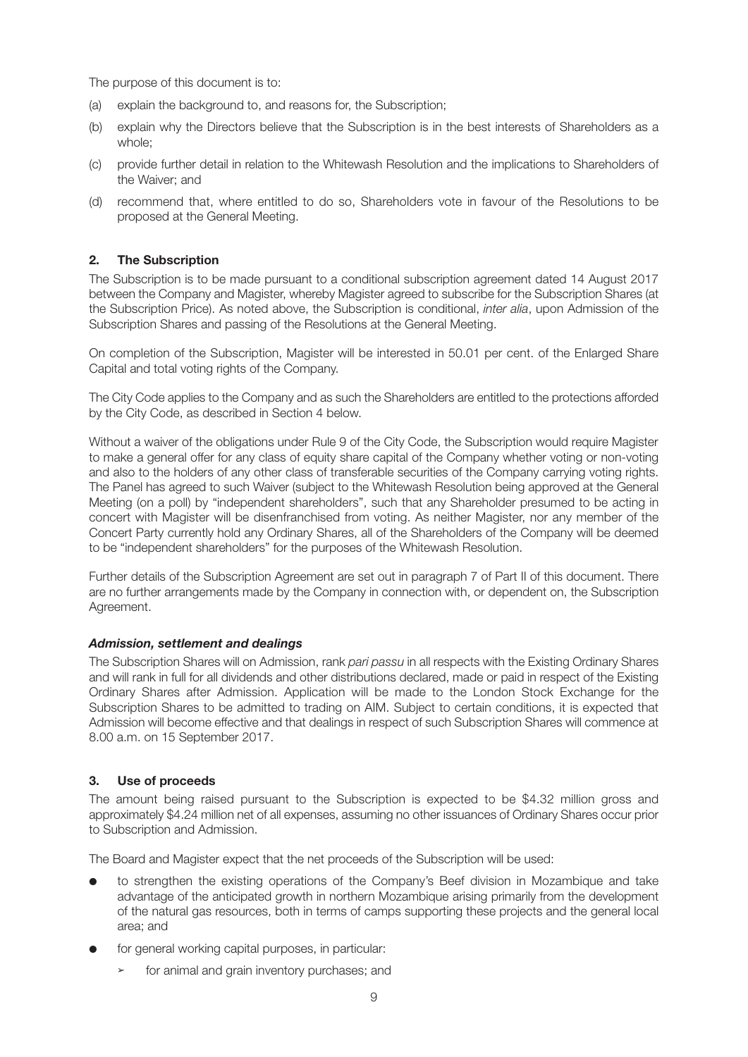The purpose of this document is to:

- (a) explain the background to, and reasons for, the Subscription;
- (b) explain why the Directors believe that the Subscription is in the best interests of Shareholders as a whole;
- (c) provide further detail in relation to the Whitewash Resolution and the implications to Shareholders of the Waiver; and
- (d) recommend that, where entitled to do so, Shareholders vote in favour of the Resolutions to be proposed at the General Meeting.

#### **2. The Subscription**

The Subscription is to be made pursuant to a conditional subscription agreement dated 14 August 2017 between the Company and Magister, whereby Magister agreed to subscribe for the Subscription Shares (at the Subscription Price). As noted above, the Subscription is conditional, *inter alia*, upon Admission of the Subscription Shares and passing of the Resolutions at the General Meeting.

On completion of the Subscription, Magister will be interested in 50.01 per cent. of the Enlarged Share Capital and total voting rights of the Company.

The City Code applies to the Company and as such the Shareholders are entitled to the protections afforded by the City Code, as described in Section 4 below.

Without a waiver of the obligations under Rule 9 of the City Code, the Subscription would require Magister to make a general offer for any class of equity share capital of the Company whether voting or non-voting and also to the holders of any other class of transferable securities of the Company carrying voting rights. The Panel has agreed to such Waiver (subject to the Whitewash Resolution being approved at the General Meeting (on a poll) by "independent shareholders", such that any Shareholder presumed to be acting in concert with Magister will be disenfranchised from voting. As neither Magister, nor any member of the Concert Party currently hold any Ordinary Shares, all of the Shareholders of the Company will be deemed to be "independent shareholders" for the purposes of the Whitewash Resolution.

Further details of the Subscription Agreement are set out in paragraph 7 of Part II of this document. There are no further arrangements made by the Company in connection with, or dependent on, the Subscription Agreement.

#### *Admission, settlement and dealings*

The Subscription Shares will on Admission, rank *pari passu* in all respects with the Existing Ordinary Shares and will rank in full for all dividends and other distributions declared, made or paid in respect of the Existing Ordinary Shares after Admission. Application will be made to the London Stock Exchange for the Subscription Shares to be admitted to trading on AIM. Subject to certain conditions, it is expected that Admission will become effective and that dealings in respect of such Subscription Shares will commence at 8.00 a.m. on 15 September 2017.

#### **3. Use of proceeds**

The amount being raised pursuant to the Subscription is expected to be \$4.32 million gross and approximately \$4.24 million net of all expenses, assuming no other issuances of Ordinary Shares occur prior to Subscription and Admission.

The Board and Magister expect that the net proceeds of the Subscription will be used:

- to strengthen the existing operations of the Company's Beef division in Mozambique and take advantage of the anticipated growth in northern Mozambique arising primarily from the development of the natural gas resources, both in terms of camps supporting these projects and the general local area; and
- for general working capital purposes, in particular:
	- for animal and grain inventory purchases; and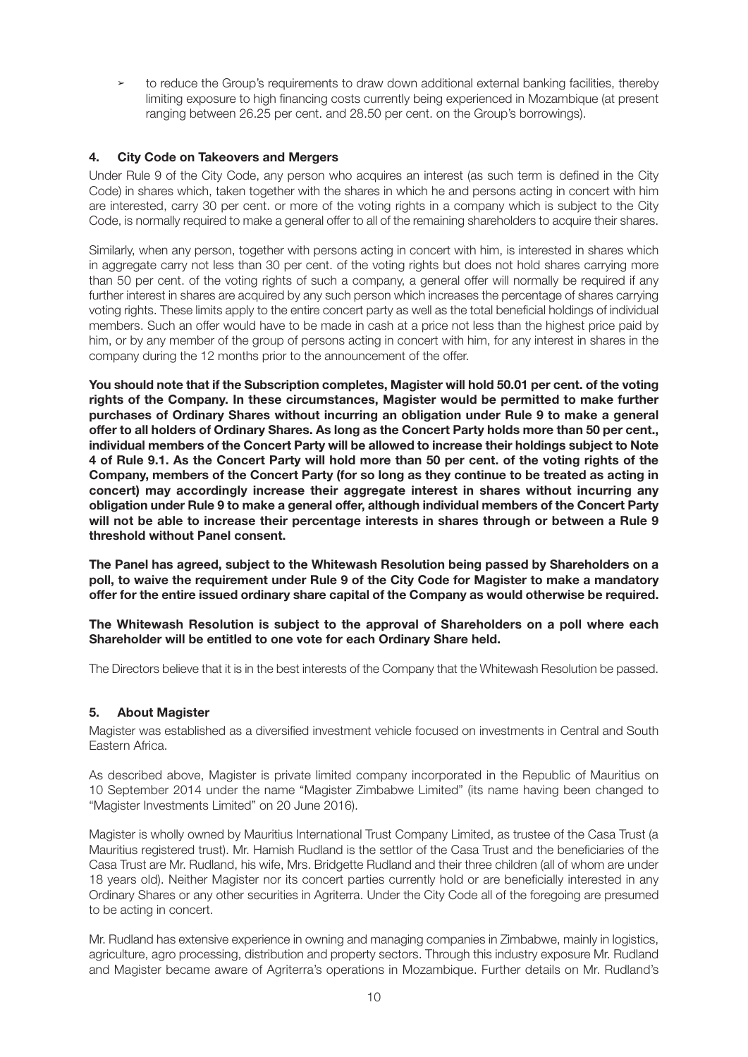**➢** to reduce the Group's requirements to draw down additional external banking facilities, thereby limiting exposure to high financing costs currently being experienced in Mozambique (at present ranging between 26.25 per cent. and 28.50 per cent. on the Group's borrowings).

#### **4. City Code on Takeovers and Mergers**

Under Rule 9 of the City Code, any person who acquires an interest (as such term is defined in the City Code) in shares which, taken together with the shares in which he and persons acting in concert with him are interested, carry 30 per cent. or more of the voting rights in a company which is subject to the City Code, is normally required to make a general offer to all of the remaining shareholders to acquire their shares.

Similarly, when any person, together with persons acting in concert with him, is interested in shares which in aggregate carry not less than 30 per cent. of the voting rights but does not hold shares carrying more than 50 per cent. of the voting rights of such a company, a general offer will normally be required if any further interest in shares are acquired by any such person which increases the percentage of shares carrying voting rights. These limits apply to the entire concert party as well as the total beneficial holdings of individual members. Such an offer would have to be made in cash at a price not less than the highest price paid by him, or by any member of the group of persons acting in concert with him, for any interest in shares in the company during the 12 months prior to the announcement of the offer.

**You should note that if the Subscription completes, Magister will hold 50.01 per cent. of the voting rights of the Company. In these circumstances, Magister would be permitted to make further purchases of Ordinary Shares without incurring an obligation under Rule 9 to make a general offer to all holders of Ordinary Shares. As long as the Concert Party holds more than 50 per cent., individual members of the Concert Party will be allowed to increase their holdings subject to Note 4 of Rule 9.1. As the Concert Party will hold more than 50 per cent. of the voting rights of the Company, members of the Concert Party (for so long as they continue to be treated as acting in concert) may accordingly increase their aggregate interest in shares without incurring any obligation under Rule 9 to make a general offer, although individual members of the Concert Party will not be able to increase their percentage interests in shares through or between a Rule 9 threshold without Panel consent.**

**The Panel has agreed, subject to the Whitewash Resolution being passed by Shareholders on a poll, to waive the requirement under Rule 9 of the City Code for Magister to make a mandatory offer for the entire issued ordinary share capital of the Company as would otherwise be required.**

#### **The Whitewash Resolution is subject to the approval of Shareholders on a poll where each Shareholder will be entitled to one vote for each Ordinary Share held.**

The Directors believe that it is in the best interests of the Company that the Whitewash Resolution be passed.

#### **5. About Magister**

Magister was established as a diversified investment vehicle focused on investments in Central and South Eastern Africa.

As described above, Magister is private limited company incorporated in the Republic of Mauritius on 10 September 2014 under the name "Magister Zimbabwe Limited" (its name having been changed to "Magister Investments Limited" on 20 June 2016).

Magister is wholly owned by Mauritius International Trust Company Limited, as trustee of the Casa Trust (a Mauritius registered trust). Mr. Hamish Rudland is the settlor of the Casa Trust and the beneficiaries of the Casa Trust are Mr. Rudland, his wife, Mrs. Bridgette Rudland and their three children (all of whom are under 18 years old). Neither Magister nor its concert parties currently hold or are beneficially interested in any Ordinary Shares or any other securities in Agriterra. Under the City Code all of the foregoing are presumed to be acting in concert.

Mr. Rudland has extensive experience in owning and managing companies in Zimbabwe, mainly in logistics, agriculture, agro processing, distribution and property sectors. Through this industry exposure Mr. Rudland and Magister became aware of Agriterra's operations in Mozambique. Further details on Mr. Rudland's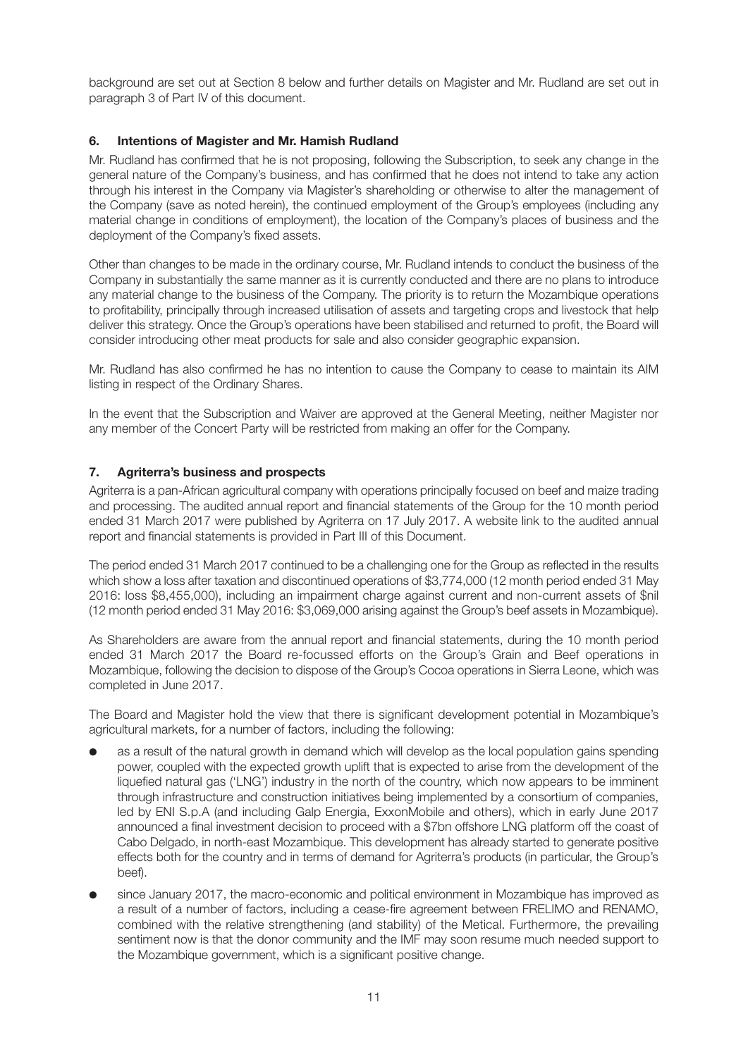background are set out at Section 8 below and further details on Magister and Mr. Rudland are set out in paragraph 3 of Part IV of this document.

#### **6. Intentions of Magister and Mr. Hamish Rudland**

Mr. Rudland has confirmed that he is not proposing, following the Subscription, to seek any change in the general nature of the Company's business, and has confirmed that he does not intend to take any action through his interest in the Company via Magister's shareholding or otherwise to alter the management of the Company (save as noted herein), the continued employment of the Group's employees (including any material change in conditions of employment), the location of the Company's places of business and the deployment of the Company's fixed assets.

Other than changes to be made in the ordinary course, Mr. Rudland intends to conduct the business of the Company in substantially the same manner as it is currently conducted and there are no plans to introduce any material change to the business of the Company. The priority is to return the Mozambique operations to profitability, principally through increased utilisation of assets and targeting crops and livestock that help deliver this strategy. Once the Group's operations have been stabilised and returned to profit, the Board will consider introducing other meat products for sale and also consider geographic expansion.

Mr. Rudland has also confirmed he has no intention to cause the Company to cease to maintain its AIM listing in respect of the Ordinary Shares.

In the event that the Subscription and Waiver are approved at the General Meeting, neither Magister nor any member of the Concert Party will be restricted from making an offer for the Company.

#### **7. Agriterra's business and prospects**

Agriterra is a pan-African agricultural company with operations principally focused on beef and maize trading and processing. The audited annual report and financial statements of the Group for the 10 month period ended 31 March 2017 were published by Agriterra on 17 July 2017. A website link to the audited annual report and financial statements is provided in Part III of this Document.

The period ended 31 March 2017 continued to be a challenging one for the Group as reflected in the results which show a loss after taxation and discontinued operations of \$3,774,000 (12 month period ended 31 May 2016: loss \$8,455,000), including an impairment charge against current and non-current assets of \$nil (12 month period ended 31 May 2016: \$3,069,000 arising against the Group's beef assets in Mozambique).

As Shareholders are aware from the annual report and financial statements, during the 10 month period ended 31 March 2017 the Board re-focussed efforts on the Group's Grain and Beef operations in Mozambique, following the decision to dispose of the Group's Cocoa operations in Sierra Leone, which was completed in June 2017.

The Board and Magister hold the view that there is significant development potential in Mozambique's agricultural markets, for a number of factors, including the following:

- as a result of the natural growth in demand which will develop as the local population gains spending power, coupled with the expected growth uplift that is expected to arise from the development of the liquefied natural gas ('LNG') industry in the north of the country, which now appears to be imminent through infrastructure and construction initiatives being implemented by a consortium of companies, led by ENI S.p.A (and including Galp Energia, ExxonMobile and others), which in early June 2017 announced a final investment decision to proceed with a \$7bn offshore LNG platform off the coast of Cabo Delgado, in north-east Mozambique. This development has already started to generate positive effects both for the country and in terms of demand for Agriterra's products (in particular, the Group's beef).
- since January 2017, the macro-economic and political environment in Mozambique has improved as a result of a number of factors, including a cease-fire agreement between FRELIMO and RENAMO, combined with the relative strengthening (and stability) of the Metical. Furthermore, the prevailing sentiment now is that the donor community and the IMF may soon resume much needed support to the Mozambique government, which is a significant positive change.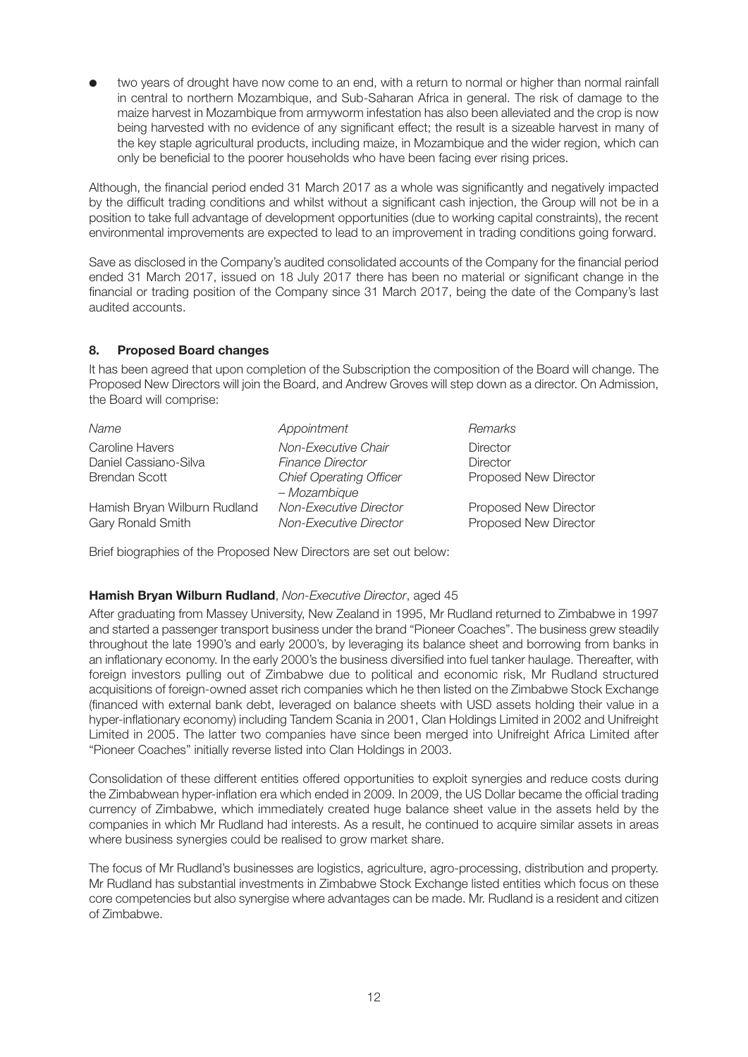two years of drought have now come to an end, with a return to normal or higher than normal rainfall in central to northern Mozambique, and Sub-Saharan Africa in general. The risk of damage to the maize harvest in Mozambique from armyworm infestation has also been alleviated and the crop is now being harvested with no evidence of any significant effect; the result is a sizeable harvest in many of the key staple agricultural products, including maize, in Mozambique and the wider region, which can only be beneficial to the poorer households who have been facing ever rising prices.

Although, the financial period ended 31 March 2017 as a whole was significantly and negatively impacted by the difficult trading conditions and whilst without a significant cash injection, the Group will not be in a position to take full advantage of development opportunities (due to working capital constraints), the recent environmental improvements are expected to lead to an improvement in trading conditions going forward.

Save as disclosed in the Company's audited consolidated accounts of the Company for the financial period ended 31 March 2017, issued on 18 July 2017 there has been no material or significant change in the financial or trading position of the Company since 31 March 2017, being the date of the Company's last audited accounts.

#### **8. Proposed Board changes**

It has been agreed that upon completion of the Subscription the composition of the Board will change. The Proposed New Directors will join the Board, and Andrew Groves will step down as a director. On Admission, the Board will comprise:

| Name                                              | Appointment                                             | Remarks                                        |
|---------------------------------------------------|---------------------------------------------------------|------------------------------------------------|
| Caroline Havers                                   | Non-Executive Chair                                     | <b>Director</b>                                |
| Daniel Cassiano-Silva                             | <b>Finance Director</b>                                 | <b>Director</b>                                |
| <b>Brendan Scott</b>                              | <b>Chief Operating Officer</b><br>- Mozambique          | Proposed New Director                          |
| Hamish Bryan Wilburn Rudland<br>Gary Ronald Smith | <b>Non-Executive Director</b><br>Non-Executive Director | Proposed New Director<br>Proposed New Director |

Brief biographies of the Proposed New Directors are set out below:

#### **Hamish Bryan Wilburn Rudland**, *Non-Executive Director*, aged 45

After graduating from Massey University, New Zealand in 1995, Mr Rudland returned to Zimbabwe in 1997 and started a passenger transport business under the brand "Pioneer Coaches". The business grew steadily throughout the late 1990's and early 2000's, by leveraging its balance sheet and borrowing from banks in an inflationary economy. In the early 2000's the business diversified into fuel tanker haulage. Thereafter, with foreign investors pulling out of Zimbabwe due to political and economic risk, Mr Rudland structured acquisitions of foreign-owned asset rich companies which he then listed on the Zimbabwe Stock Exchange (financed with external bank debt, leveraged on balance sheets with USD assets holding their value in a hyper-inflationary economy) including Tandem Scania in 2001, Clan Holdings Limited in 2002 and Unifreight Limited in 2005. The latter two companies have since been merged into Unifreight Africa Limited after "Pioneer Coaches" initially reverse listed into Clan Holdings in 2003.

Consolidation of these different entities offered opportunities to exploit synergies and reduce costs during the Zimbabwean hyper-inflation era which ended in 2009. In 2009, the US Dollar became the official trading currency of Zimbabwe, which immediately created huge balance sheet value in the assets held by the companies in which Mr Rudland had interests. As a result, he continued to acquire similar assets in areas where business synergies could be realised to grow market share.

The focus of Mr Rudland's businesses are logistics, agriculture, agro-processing, distribution and property. Mr Rudland has substantial investments in Zimbabwe Stock Exchange listed entities which focus on these core competencies but also synergise where advantages can be made. Mr. Rudland is a resident and citizen of Zimbabwe.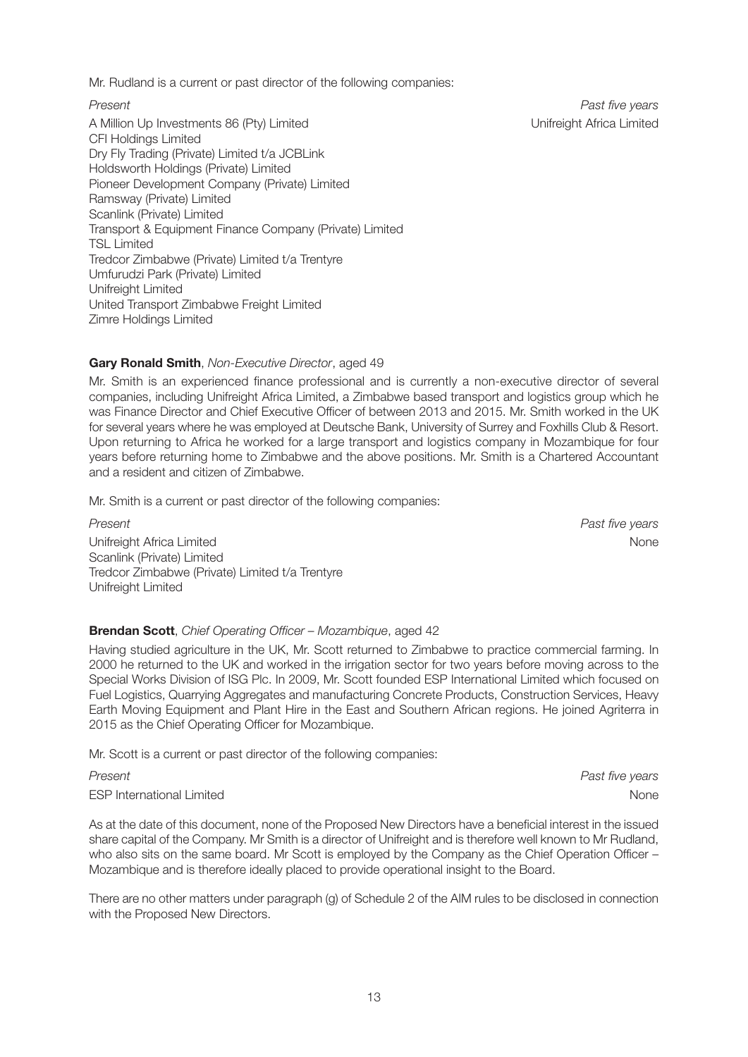Mr. Rudland is a current or past director of the following companies:

A Million Up Investments 86 (Pty) Limited Communication Communication Communication Communication Communication CFI Holdings Limited Dry Fly Trading (Private) Limited t/a JCBLink Holdsworth Holdings (Private) Limited Pioneer Development Company (Private) Limited Ramsway (Private) Limited Scanlink (Private) Limited Transport & Equipment Finance Company (Private) Limited TSL Limited Tredcor Zimbabwe (Private) Limited t/a Trentyre Umfurudzi Park (Private) Limited Unifreight Limited United Transport Zimbabwe Freight Limited Zimre Holdings Limited

*Present Past five years*

#### **Gary Ronald Smith**, *Non-Executive Director*, aged 49

Mr. Smith is an experienced finance professional and is currently a non-executive director of several companies, including Unifreight Africa Limited, a Zimbabwe based transport and logistics group which he was Finance Director and Chief Executive Officer of between 2013 and 2015. Mr. Smith worked in the UK for several years where he was employed at Deutsche Bank, University of Surrey and Foxhills Club & Resort. Upon returning to Africa he worked for a large transport and logistics company in Mozambique for four years before returning home to Zimbabwe and the above positions. Mr. Smith is a Chartered Accountant and a resident and citizen of Zimbabwe.

Mr. Smith is a current or past director of the following companies:

*Present Past five years* Unifreight Africa Limited None (No. 2016) and the Unifreight Africa Limited None (No. 2016) and the Unifre Scanlink (Private) Limited Tredcor Zimbabwe (Private) Limited t/a Trentyre Unifreight Limited

#### **Brendan Scott**, *Chief Operating Officer – Mozambique*, aged 42

Having studied agriculture in the UK, Mr. Scott returned to Zimbabwe to practice commercial farming. In 2000 he returned to the UK and worked in the irrigation sector for two years before moving across to the Special Works Division of ISG Plc. In 2009, Mr. Scott founded ESP International Limited which focused on Fuel Logistics, Quarrying Aggregates and manufacturing Concrete Products, Construction Services, Heavy Earth Moving Equipment and Plant Hire in the East and Southern African regions. He joined Agriterra in 2015 as the Chief Operating Officer for Mozambique.

Mr. Scott is a current or past director of the following companies:

*Present Past five years*

ESP International Limited None

As at the date of this document, none of the Proposed New Directors have a beneficial interest in the issued share capital of the Company. Mr Smith is a director of Unifreight and is therefore well known to Mr Rudland, who also sits on the same board. Mr Scott is employed by the Company as the Chief Operation Officer – Mozambique and is therefore ideally placed to provide operational insight to the Board.

There are no other matters under paragraph (g) of Schedule 2 of the AIM rules to be disclosed in connection with the Proposed New Directors.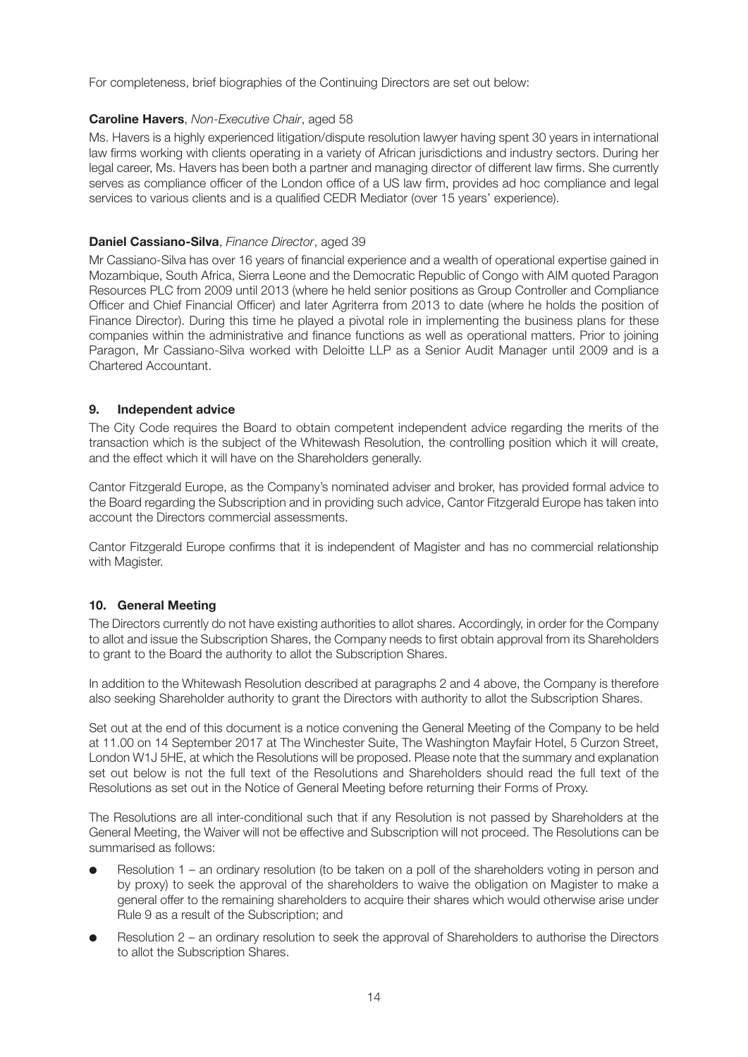For completeness, brief biographies of the Continuing Directors are set out below:

#### **Caroline Havers**, *Non-Executive Chair*, aged 58

Ms. Havers is a highly experienced litigation/dispute resolution lawyer having spent 30 years in international law firms working with clients operating in a variety of African jurisdictions and industry sectors. During her legal career, Ms. Havers has been both a partner and managing director of different law firms. She currently serves as compliance officer of the London office of a US law firm, provides ad hoc compliance and legal services to various clients and is a qualified CEDR Mediator (over 15 years' experience).

#### **Daniel Cassiano-Silva**, *Finance Director*, aged 39

Mr Cassiano-Silva has over 16 years of financial experience and a wealth of operational expertise gained in Mozambique, South Africa, Sierra Leone and the Democratic Republic of Congo with AIM quoted Paragon Resources PLC from 2009 until 2013 (where he held senior positions as Group Controller and Compliance Officer and Chief Financial Officer) and later Agriterra from 2013 to date (where he holds the position of Finance Director). During this time he played a pivotal role in implementing the business plans for these companies within the administrative and finance functions as well as operational matters. Prior to joining Paragon, Mr Cassiano-Silva worked with Deloitte LLP as a Senior Audit Manager until 2009 and is a Chartered Accountant.

#### **9. Independent advice**

The City Code requires the Board to obtain competent independent advice regarding the merits of the transaction which is the subject of the Whitewash Resolution, the controlling position which it will create, and the effect which it will have on the Shareholders generally.

Cantor Fitzgerald Europe, as the Company's nominated adviser and broker, has provided formal advice to the Board regarding the Subscription and in providing such advice, Cantor Fitzgerald Europe has taken into account the Directors commercial assessments.

Cantor Fitzgerald Europe confirms that it is independent of Magister and has no commercial relationship with Magister.

#### **10. General Meeting**

The Directors currently do not have existing authorities to allot shares. Accordingly, in order for the Company to allot and issue the Subscription Shares, the Company needs to first obtain approval from its Shareholders to grant to the Board the authority to allot the Subscription Shares.

In addition to the Whitewash Resolution described at paragraphs 2 and 4 above, the Company is therefore also seeking Shareholder authority to grant the Directors with authority to allot the Subscription Shares.

Set out at the end of this document is a notice convening the General Meeting of the Company to be held at 11.00 on 14 September 2017 at The Winchester Suite, The Washington Mayfair Hotel, 5 Curzon Street, London W1J 5HE, at which the Resolutions will be proposed. Please note that the summary and explanation set out below is not the full text of the Resolutions and Shareholders should read the full text of the Resolutions as set out in the Notice of General Meeting before returning their Forms of Proxy.

The Resolutions are all inter-conditional such that if any Resolution is not passed by Shareholders at the General Meeting, the Waiver will not be effective and Subscription will not proceed. The Resolutions can be summarised as follows:

- Resolution  $1 -$  an ordinary resolution (to be taken on a poll of the shareholders voting in person and by proxy) to seek the approval of the shareholders to waive the obligation on Magister to make a general offer to the remaining shareholders to acquire their shares which would otherwise arise under Rule 9 as a result of the Subscription; and
- Resolution 2 an ordinary resolution to seek the approval of Shareholders to authorise the Directors to allot the Subscription Shares.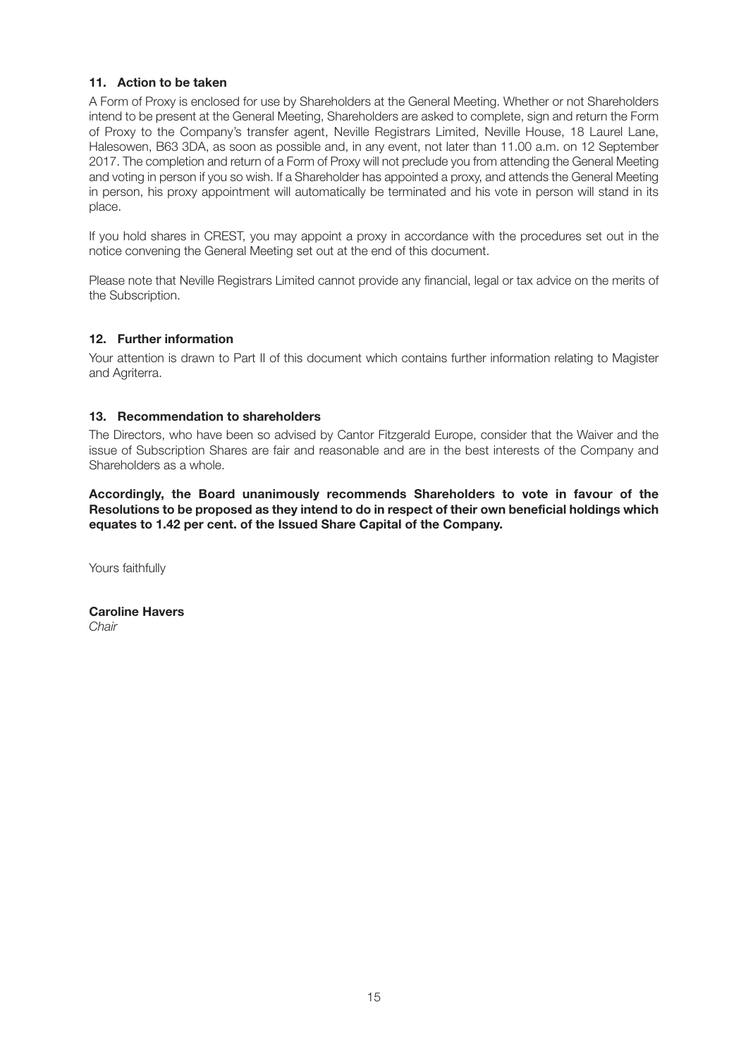#### **11. Action to be taken**

A Form of Proxy is enclosed for use by Shareholders at the General Meeting. Whether or not Shareholders intend to be present at the General Meeting, Shareholders are asked to complete, sign and return the Form of Proxy to the Company's transfer agent, Neville Registrars Limited, Neville House, 18 Laurel Lane, Halesowen, B63 3DA, as soon as possible and, in any event, not later than 11.00 a.m. on 12 September 2017. The completion and return of a Form of Proxy will not preclude you from attending the General Meeting and voting in person if you so wish. If a Shareholder has appointed a proxy, and attends the General Meeting in person, his proxy appointment will automatically be terminated and his vote in person will stand in its place.

If you hold shares in CREST, you may appoint a proxy in accordance with the procedures set out in the notice convening the General Meeting set out at the end of this document.

Please note that Neville Registrars Limited cannot provide any financial, legal or tax advice on the merits of the Subscription.

#### **12. Further information**

Your attention is drawn to Part II of this document which contains further information relating to Magister and Agriterra.

#### **13. Recommendation to shareholders**

The Directors, who have been so advised by Cantor Fitzgerald Europe, consider that the Waiver and the issue of Subscription Shares are fair and reasonable and are in the best interests of the Company and Shareholders as a whole.

**Accordingly, the Board unanimously recommends Shareholders to vote in favour of the Resolutions to be proposed as they intend to do in respect of their own beneficial holdings which equates to 1.42 per cent. of the Issued Share Capital of the Company.**

Yours faithfully

**Caroline Havers** *Chair*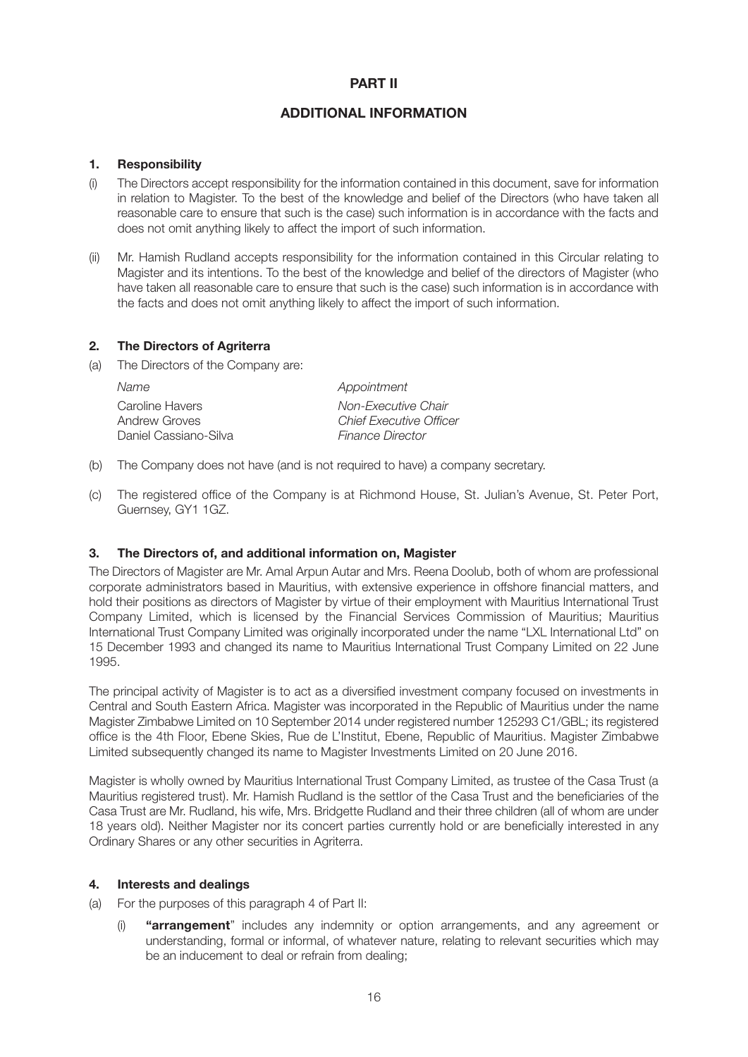#### **PART II**

#### **ADDITIONAL INFORMATION**

#### **1. Responsibility**

- (i) The Directors accept responsibility for the information contained in this document, save for information in relation to Magister. To the best of the knowledge and belief of the Directors (who have taken all reasonable care to ensure that such is the case) such information is in accordance with the facts and does not omit anything likely to affect the import of such information.
- (ii) Mr. Hamish Rudland accepts responsibility for the information contained in this Circular relating to Magister and its intentions. To the best of the knowledge and belief of the directors of Magister (who have taken all reasonable care to ensure that such is the case) such information is in accordance with the facts and does not omit anything likely to affect the import of such information.

#### **2. The Directors of Agriterra**

(a) The Directors of the Company are:

| Name                             | Appointment                                           |
|----------------------------------|-------------------------------------------------------|
| Caroline Havers<br>Andrew Groves | Non-Executive Chair<br><b>Chief Executive Officer</b> |
| Daniel Cassiano-Silva            | <i><b>Finance Director</b></i>                        |

- (b) The Company does not have (and is not required to have) a company secretary.
- (c) The registered office of the Company is at Richmond House, St. Julian's Avenue, St. Peter Port, Guernsey, GY1 1GZ.

#### **3. The Directors of, and additional information on, Magister**

The Directors of Magister are Mr. Amal Arpun Autar and Mrs. Reena Doolub, both of whom are professional corporate administrators based in Mauritius, with extensive experience in offshore financial matters, and hold their positions as directors of Magister by virtue of their employment with Mauritius International Trust Company Limited, which is licensed by the Financial Services Commission of Mauritius; Mauritius International Trust Company Limited was originally incorporated under the name "LXL International Ltd" on 15 December 1993 and changed its name to Mauritius International Trust Company Limited on 22 June 1995.

The principal activity of Magister is to act as a diversified investment company focused on investments in Central and South Eastern Africa. Magister was incorporated in the Republic of Mauritius under the name Magister Zimbabwe Limited on 10 September 2014 under registered number 125293 C1/GBL; its registered office is the 4th Floor, Ebene Skies, Rue de L'Institut, Ebene, Republic of Mauritius. Magister Zimbabwe Limited subsequently changed its name to Magister Investments Limited on 20 June 2016.

Magister is wholly owned by Mauritius International Trust Company Limited, as trustee of the Casa Trust (a Mauritius registered trust). Mr. Hamish Rudland is the settlor of the Casa Trust and the beneficiaries of the Casa Trust are Mr. Rudland, his wife, Mrs. Bridgette Rudland and their three children (all of whom are under 18 years old). Neither Magister nor its concert parties currently hold or are beneficially interested in any Ordinary Shares or any other securities in Agriterra.

#### **4. Interests and dealings**

(a) For the purposes of this paragraph 4 of Part II:

(i) **"arrangement**" includes any indemnity or option arrangements, and any agreement or understanding, formal or informal, of whatever nature, relating to relevant securities which may be an inducement to deal or refrain from dealing;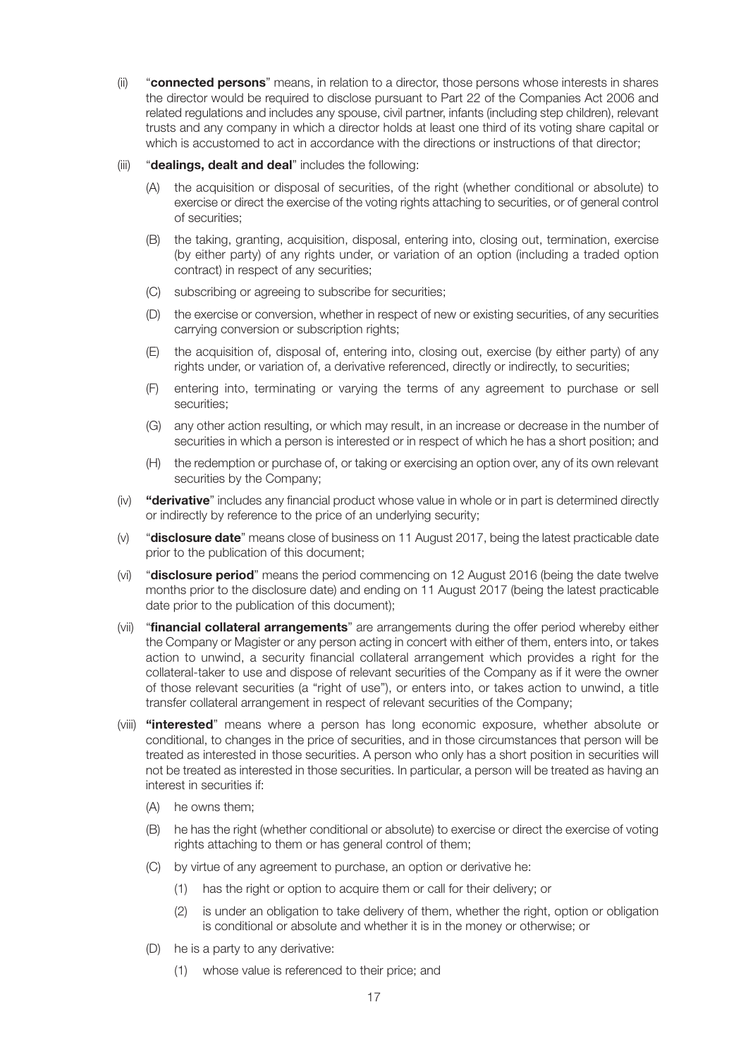- (ii) "**connected persons**" means, in relation to a director, those persons whose interests in shares the director would be required to disclose pursuant to Part 22 of the Companies Act 2006 and related regulations and includes any spouse, civil partner, infants (including step children), relevant trusts and any company in which a director holds at least one third of its voting share capital or which is accustomed to act in accordance with the directions or instructions of that director;
- (iii) "**dealings, dealt and deal**" includes the following:
	- (A) the acquisition or disposal of securities, of the right (whether conditional or absolute) to exercise or direct the exercise of the voting rights attaching to securities, or of general control of securities;
	- (B) the taking, granting, acquisition, disposal, entering into, closing out, termination, exercise (by either party) of any rights under, or variation of an option (including a traded option contract) in respect of any securities;
	- (C) subscribing or agreeing to subscribe for securities;
	- (D) the exercise or conversion, whether in respect of new or existing securities, of any securities carrying conversion or subscription rights;
	- (E) the acquisition of, disposal of, entering into, closing out, exercise (by either party) of any rights under, or variation of, a derivative referenced, directly or indirectly, to securities;
	- (F) entering into, terminating or varying the terms of any agreement to purchase or sell securities;
	- (G) any other action resulting, or which may result, in an increase or decrease in the number of securities in which a person is interested or in respect of which he has a short position; and
	- (H) the redemption or purchase of, or taking or exercising an option over, any of its own relevant securities by the Company;
- (iv) **"derivative**" includes any financial product whose value in whole or in part is determined directly or indirectly by reference to the price of an underlying security;
- (v) "**disclosure date**" means close of business on 11 August 2017, being the latest practicable date prior to the publication of this document;
- (vi) "**disclosure period**" means the period commencing on 12 August 2016 (being the date twelve months prior to the disclosure date) and ending on 11 August 2017 (being the latest practicable date prior to the publication of this document);
- (vii) "**financial collateral arrangements**" are arrangements during the offer period whereby either the Company or Magister or any person acting in concert with either of them, enters into, or takes action to unwind, a security financial collateral arrangement which provides a right for the collateral-taker to use and dispose of relevant securities of the Company as if it were the owner of those relevant securities (a "right of use"), or enters into, or takes action to unwind, a title transfer collateral arrangement in respect of relevant securities of the Company;
- (viii) **"interested**" means where a person has long economic exposure, whether absolute or conditional, to changes in the price of securities, and in those circumstances that person will be treated as interested in those securities. A person who only has a short position in securities will not be treated as interested in those securities. In particular, a person will be treated as having an interest in securities if:
	- (A) he owns them;
	- (B) he has the right (whether conditional or absolute) to exercise or direct the exercise of voting rights attaching to them or has general control of them;
	- (C) by virtue of any agreement to purchase, an option or derivative he:
		- (1) has the right or option to acquire them or call for their delivery; or
		- (2) is under an obligation to take delivery of them, whether the right, option or obligation is conditional or absolute and whether it is in the money or otherwise; or
	- (D) he is a party to any derivative:
		- (1) whose value is referenced to their price; and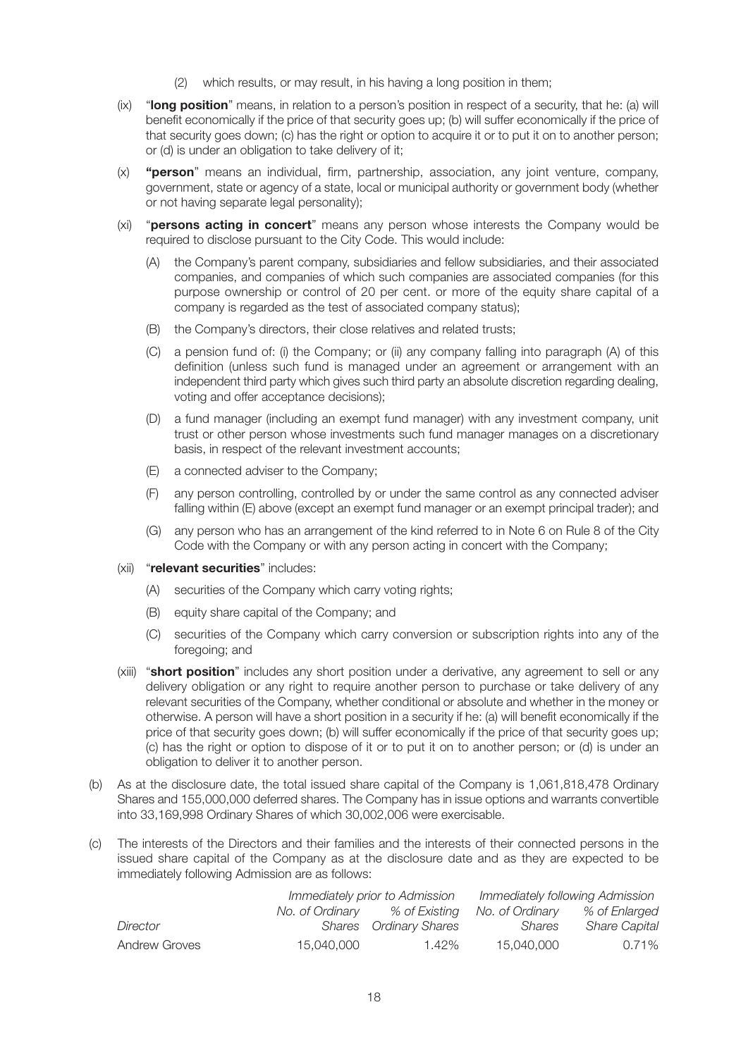- (2) which results, or may result, in his having a long position in them;
- (ix) "**long position**" means, in relation to a person's position in respect of a security, that he: (a) will benefit economically if the price of that security goes up; (b) will suffer economically if the price of that security goes down; (c) has the right or option to acquire it or to put it on to another person; or (d) is under an obligation to take delivery of it;
- (x) **"person**" means an individual, firm, partnership, association, any joint venture, company, government, state or agency of a state, local or municipal authority or government body (whether or not having separate legal personality);
- (xi) "**persons acting in concert**" means any person whose interests the Company would be required to disclose pursuant to the City Code. This would include:
	- (A) the Company's parent company, subsidiaries and fellow subsidiaries, and their associated companies, and companies of which such companies are associated companies (for this purpose ownership or control of 20 per cent. or more of the equity share capital of a company is regarded as the test of associated company status);
	- (B) the Company's directors, their close relatives and related trusts;
	- (C) a pension fund of: (i) the Company; or (ii) any company falling into paragraph (A) of this definition (unless such fund is managed under an agreement or arrangement with an independent third party which gives such third party an absolute discretion regarding dealing, voting and offer acceptance decisions);
	- (D) a fund manager (including an exempt fund manager) with any investment company, unit trust or other person whose investments such fund manager manages on a discretionary basis, in respect of the relevant investment accounts;
	- (E) a connected adviser to the Company;
	- (F) any person controlling, controlled by or under the same control as any connected adviser falling within (E) above (except an exempt fund manager or an exempt principal trader); and
	- (G) any person who has an arrangement of the kind referred to in Note 6 on Rule 8 of the City Code with the Company or with any person acting in concert with the Company;
- (xii) "**relevant securities**" includes:
	- (A) securities of the Company which carry voting rights;
	- (B) equity share capital of the Company; and
	- (C) securities of the Company which carry conversion or subscription rights into any of the foregoing; and
- (xiii) "**short position**" includes any short position under a derivative, any agreement to sell or any delivery obligation or any right to require another person to purchase or take delivery of any relevant securities of the Company, whether conditional or absolute and whether in the money or otherwise. A person will have a short position in a security if he: (a) will benefit economically if the price of that security goes down; (b) will suffer economically if the price of that security goes up; (c) has the right or option to dispose of it or to put it on to another person; or (d) is under an obligation to deliver it to another person.
- (b) As at the disclosure date, the total issued share capital of the Company is 1,061,818,478 Ordinary Shares and 155,000,000 deferred shares. The Company has in issue options and warrants convertible into 33,169,998 Ordinary Shares of which 30,002,006 were exercisable.
- (c) The interests of the Directors and their families and the interests of their connected persons in the issued share capital of the Company as at the disclosure date and as they are expected to be immediately following Admission are as follows:

|               |                 | Immediately prior to Admission |                 | Immediately following Admission |
|---------------|-----------------|--------------------------------|-----------------|---------------------------------|
|               | No. of Ordinarv | % of Existing                  | No. of Ordinarv | % of Enlarged                   |
| Director      |                 | Shares Ordinary Shares         | Shares          | <b>Share Capital</b>            |
| Andrew Groves | 15,040,000      | 1.42%                          | 15,040,000      | 0.71%                           |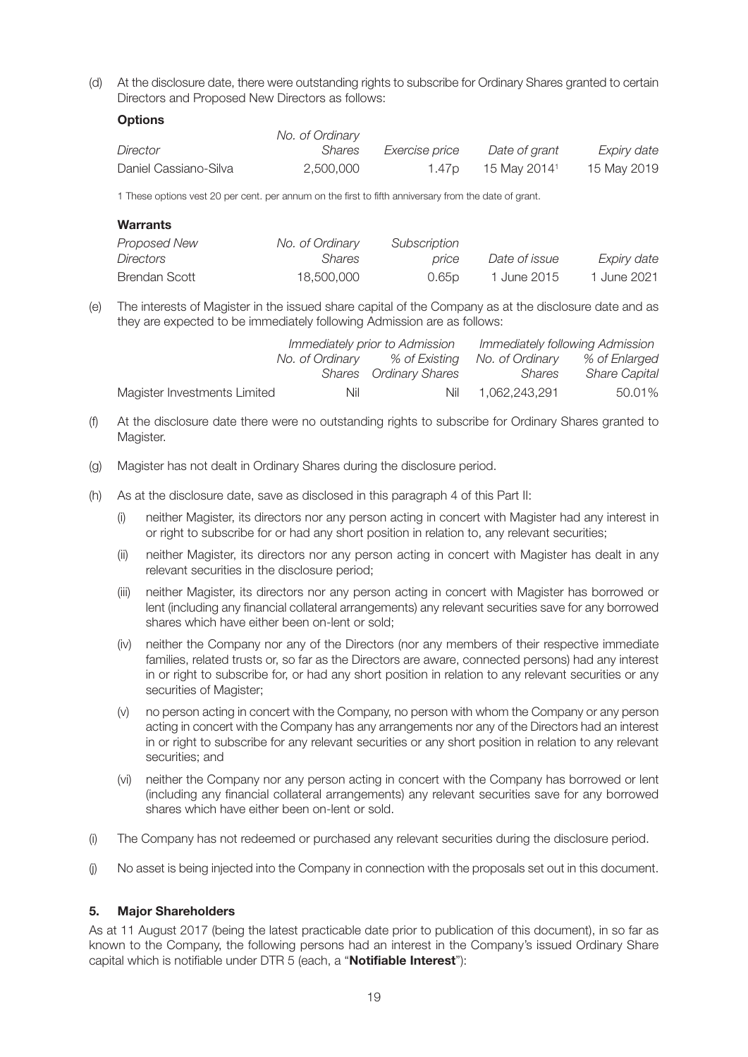(d) At the disclosure date, there were outstanding rights to subscribe for Ordinary Shares granted to certain Directors and Proposed New Directors as follows:

#### **Options**

|                       | No. of Ordinary |                   |                          |             |
|-----------------------|-----------------|-------------------|--------------------------|-------------|
| Director              | Shares          | Exercise price    | Date of grant            | Expiry date |
| Daniel Cassiano-Silva | 2.500.000       | 1.47 <sub>D</sub> | 15 May 2014 <sup>1</sup> | 15 May 2019 |

1 These options vest 20 per cent. per annum on the first to fifth anniversary from the date of grant.

| <b>Warrants</b> |                 |              |               |             |
|-----------------|-----------------|--------------|---------------|-------------|
| Proposed New    | No. of Ordinary | Subscription |               |             |
| Directors       | Shares          | price        | Date of issue | Expiry date |
| Brendan Scott   | 18,500,000      | 0.65p        | 1 June 2015   | 1 June 2021 |

(e) The interests of Magister in the issued share capital of the Company as at the disclosure date and as they are expected to be immediately following Admission are as follows:

|                              | Immediately prior to Admission |                               | Immediately following Admission |                      |
|------------------------------|--------------------------------|-------------------------------|---------------------------------|----------------------|
|                              | No. of Ordinarv                | % of Existing                 | No. of Ordinary                 | % of Enlarged        |
|                              |                                | <b>Shares</b> Ordinary Shares | Shares                          | <b>Share Capital</b> |
| Magister Investments Limited | Nil                            |                               | Nil 1.062.243.291               | 50.01%               |

- (f) At the disclosure date there were no outstanding rights to subscribe for Ordinary Shares granted to Magister.
- (g) Magister has not dealt in Ordinary Shares during the disclosure period.
- (h) As at the disclosure date, save as disclosed in this paragraph 4 of this Part II:
	- (i) neither Magister, its directors nor any person acting in concert with Magister had any interest in or right to subscribe for or had any short position in relation to, any relevant securities;
	- (ii) neither Magister, its directors nor any person acting in concert with Magister has dealt in any relevant securities in the disclosure period;
	- (iii) neither Magister, its directors nor any person acting in concert with Magister has borrowed or lent (including any financial collateral arrangements) any relevant securities save for any borrowed shares which have either been on-lent or sold;
	- (iv) neither the Company nor any of the Directors (nor any members of their respective immediate families, related trusts or, so far as the Directors are aware, connected persons) had any interest in or right to subscribe for, or had any short position in relation to any relevant securities or any securities of Magister;
	- (v) no person acting in concert with the Company, no person with whom the Company or any person acting in concert with the Company has any arrangements nor any of the Directors had an interest in or right to subscribe for any relevant securities or any short position in relation to any relevant securities; and
	- (vi) neither the Company nor any person acting in concert with the Company has borrowed or lent (including any financial collateral arrangements) any relevant securities save for any borrowed shares which have either been on-lent or sold.
- (i) The Company has not redeemed or purchased any relevant securities during the disclosure period.
- (j) No asset is being injected into the Company in connection with the proposals set out in this document.

#### **5. Major Shareholders**

As at 11 August 2017 (being the latest practicable date prior to publication of this document), in so far as known to the Company, the following persons had an interest in the Company's issued Ordinary Share capital which is notifiable under DTR 5 (each, a "**Notifiable Interest**"):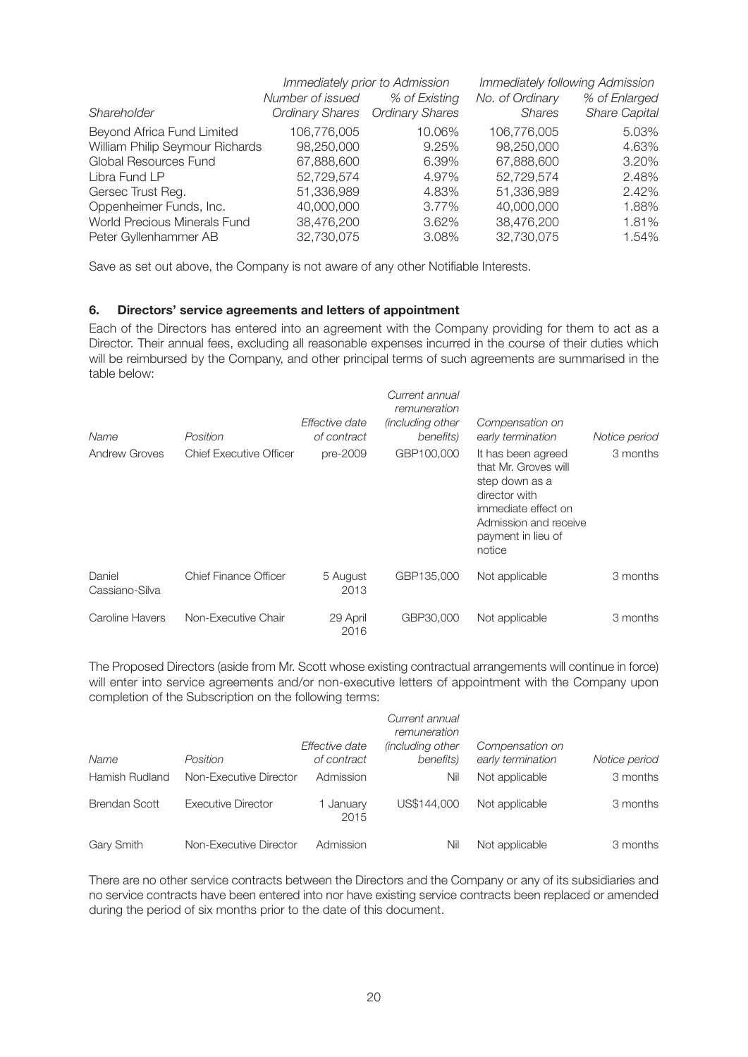|                                 | Immediately prior to Admission |                                 | Immediately following Admission |                      |
|---------------------------------|--------------------------------|---------------------------------|---------------------------------|----------------------|
|                                 | Number of issued               | % of Existing                   | No. of Ordinary                 | % of Enlarged        |
| Shareholder                     |                                | Ordinary Shares Ordinary Shares | <b>Shares</b>                   | <b>Share Capital</b> |
| Beyond Africa Fund Limited      | 106,776,005                    | 10.06%                          | 106,776,005                     | 5.03%                |
| William Philip Seymour Richards | 98,250,000                     | 9.25%                           | 98,250,000                      | 4.63%                |
| Global Resources Fund           | 67,888,600                     | 6.39%                           | 67,888,600                      | 3.20%                |
| Libra Fund LP                   | 52,729,574                     | 4.97%                           | 52,729,574                      | 2.48%                |
| Gersec Trust Reg.               | 51,336,989                     | 4.83%                           | 51,336,989                      | 2.42%                |
| Oppenheimer Funds, Inc.         | 40,000,000                     | 3.77%                           | 40,000,000                      | 1.88%                |
| World Precious Minerals Fund    | 38,476,200                     | 3.62%                           | 38,476,200                      | 1.81%                |
| Peter Gyllenhammer AB           | 32,730,075                     | 3.08%                           | 32,730,075                      | 1.54%                |

Save as set out above, the Company is not aware of any other Notifiable Interests.

#### **6. Directors' service agreements and letters of appointment**

Each of the Directors has entered into an agreement with the Company providing for them to act as a Director. Their annual fees, excluding all reasonable expenses incurred in the course of their duties which will be reimbursed by the Company, and other principal terms of such agreements are summarised in the table below:

| Name                     | Position                       | Effective date<br>of contract | Current annual<br>remuneration<br><i>(including other</i> )<br>benefits) | Compensation on<br>early termination                                                                                                                          | Notice period |
|--------------------------|--------------------------------|-------------------------------|--------------------------------------------------------------------------|---------------------------------------------------------------------------------------------------------------------------------------------------------------|---------------|
| <b>Andrew Groves</b>     | <b>Chief Executive Officer</b> | pre-2009                      | GBP100,000                                                               | It has been agreed<br>that Mr. Groves will<br>step down as a<br>director with<br>immediate effect on<br>Admission and receive<br>payment in lieu of<br>notice | 3 months      |
| Daniel<br>Cassiano-Silva | <b>Chief Finance Officer</b>   | 5 August<br>2013              | GBP135,000                                                               | Not applicable                                                                                                                                                | 3 months      |
| Caroline Havers          | Non-Executive Chair            | 29 April<br>2016              | GBP30,000                                                                | Not applicable                                                                                                                                                | 3 months      |

The Proposed Directors (aside from Mr. Scott whose existing contractual arrangements will continue in force) will enter into service agreements and/or non-executive letters of appointment with the Company upon completion of the Subscription on the following terms:

|                      |                           |                               | Current annual<br>remuneration       |                                      |               |
|----------------------|---------------------------|-------------------------------|--------------------------------------|--------------------------------------|---------------|
| Name                 | Position                  | Effective date<br>of contract | <i>lincluding other</i><br>benefits) | Compensation on<br>early termination | Notice period |
|                      |                           |                               |                                      |                                      |               |
| Hamish Rudland       | Non-Executive Director    | Admission                     | Nil                                  | Not applicable                       | 3 months      |
| <b>Brendan Scott</b> | <b>Executive Director</b> | January<br>2015               | US\$144.000                          | Not applicable                       | 3 months      |
| Gary Smith           | Non-Executive Director    | Admission                     | Nil                                  | Not applicable                       | 3 months      |

There are no other service contracts between the Directors and the Company or any of its subsidiaries and no service contracts have been entered into nor have existing service contracts been replaced or amended during the period of six months prior to the date of this document.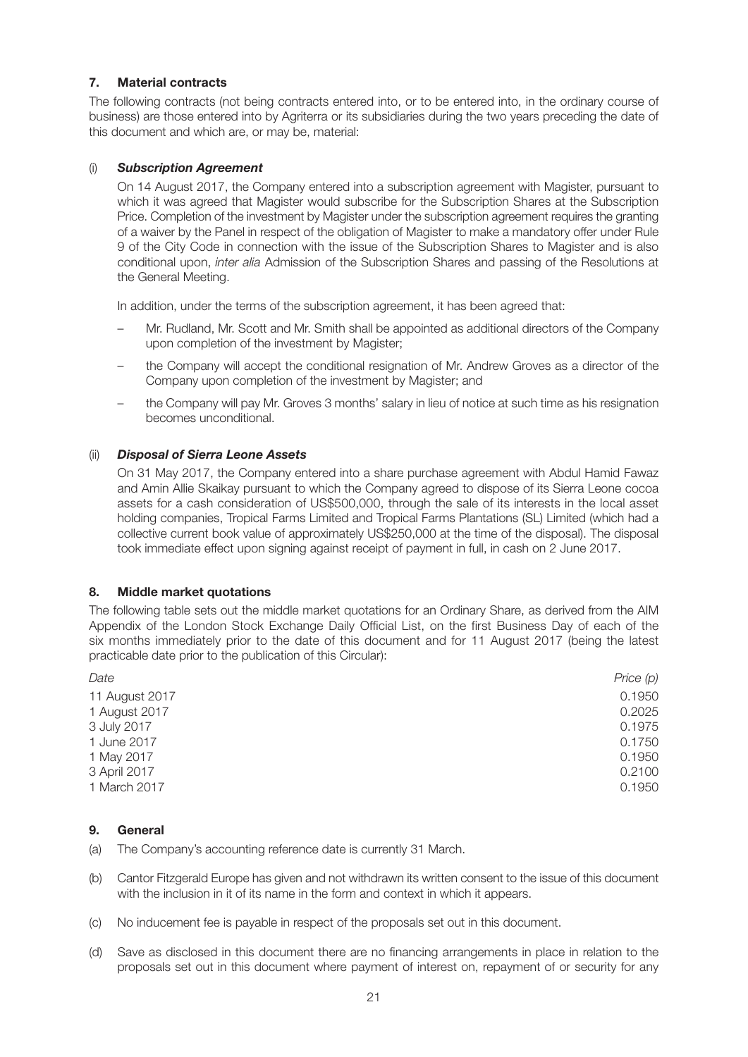#### **7. Material contracts**

The following contracts (not being contracts entered into, or to be entered into, in the ordinary course of business) are those entered into by Agriterra or its subsidiaries during the two years preceding the date of this document and which are, or may be, material:

#### (i) *Subscription Agreement*

On 14 August 2017, the Company entered into a subscription agreement with Magister, pursuant to which it was agreed that Magister would subscribe for the Subscription Shares at the Subscription Price. Completion of the investment by Magister under the subscription agreement requires the granting of a waiver by the Panel in respect of the obligation of Magister to make a mandatory offer under Rule 9 of the City Code in connection with the issue of the Subscription Shares to Magister and is also conditional upon, *inter alia* Admission of the Subscription Shares and passing of the Resolutions at the General Meeting.

In addition, under the terms of the subscription agreement, it has been agreed that:

- Mr. Rudland, Mr. Scott and Mr. Smith shall be appointed as additional directors of the Company upon completion of the investment by Magister;
- the Company will accept the conditional resignation of Mr. Andrew Groves as a director of the Company upon completion of the investment by Magister; and
- the Company will pay Mr. Groves 3 months' salary in lieu of notice at such time as his resignation becomes unconditional.

#### (ii) *Disposal of Sierra Leone Assets*

On 31 May 2017, the Company entered into a share purchase agreement with Abdul Hamid Fawaz and Amin Allie Skaikay pursuant to which the Company agreed to dispose of its Sierra Leone cocoa assets for a cash consideration of US\$500,000, through the sale of its interests in the local asset holding companies, Tropical Farms Limited and Tropical Farms Plantations (SL) Limited (which had a collective current book value of approximately US\$250,000 at the time of the disposal). The disposal took immediate effect upon signing against receipt of payment in full, in cash on 2 June 2017.

#### **8. Middle market quotations**

The following table sets out the middle market quotations for an Ordinary Share, as derived from the AIM Appendix of the London Stock Exchange Daily Official List, on the first Business Day of each of the six months immediately prior to the date of this document and for 11 August 2017 (being the latest practicable date prior to the publication of this Circular):

| Date           | Price $(p)$ |
|----------------|-------------|
| 11 August 2017 | 0.1950      |
| 1 August 2017  | 0.2025      |
| 3 July 2017    | 0.1975      |
| 1 June 2017    | 0.1750      |
| 1 May 2017     | 0.1950      |
| 3 April 2017   | 0.2100      |
| 1 March 2017   | 0.1950      |

#### **9. General**

(a) The Company's accounting reference date is currently 31 March.

- (b) Cantor Fitzgerald Europe has given and not withdrawn its written consent to the issue of this document with the inclusion in it of its name in the form and context in which it appears.
- (c) No inducement fee is payable in respect of the proposals set out in this document.
- (d) Save as disclosed in this document there are no financing arrangements in place in relation to the proposals set out in this document where payment of interest on, repayment of or security for any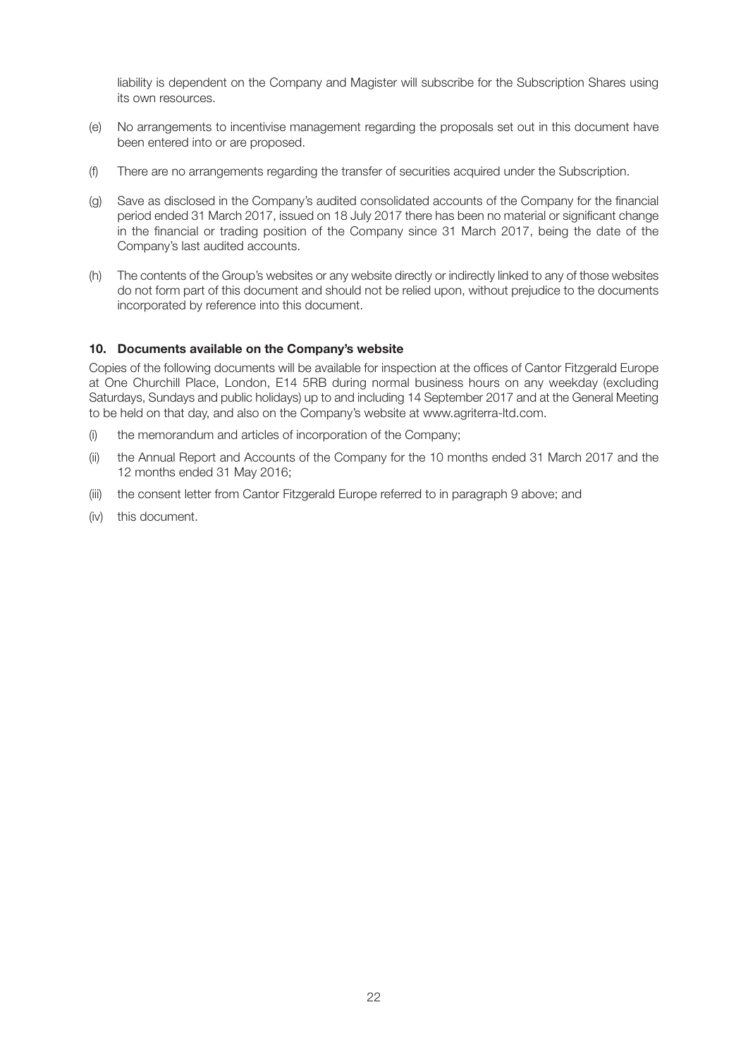liability is dependent on the Company and Magister will subscribe for the Subscription Shares using its own resources.

- (e) No arrangements to incentivise management regarding the proposals set out in this document have been entered into or are proposed.
- (f) There are no arrangements regarding the transfer of securities acquired under the Subscription.
- (g) Save as disclosed in the Company's audited consolidated accounts of the Company for the financial period ended 31 March 2017, issued on 18 July 2017 there has been no material or significant change in the financial or trading position of the Company since 31 March 2017, being the date of the Company's last audited accounts.
- (h) The contents of the Group's websites or any website directly or indirectly linked to any of those websites do not form part of this document and should not be relied upon, without prejudice to the documents incorporated by reference into this document.

#### **10. Documents available on the Company's website**

Copies of the following documents will be available for inspection at the offices of Cantor Fitzgerald Europe at One Churchill Place, London, E14 5RB during normal business hours on any weekday (excluding Saturdays, Sundays and public holidays) up to and including 14 September 2017 and at the General Meeting to be held on that day, and also on the Company's website at www.agriterra-ltd.com.

- (i) the memorandum and articles of incorporation of the Company;
- (ii) the Annual Report and Accounts of the Company for the 10 months ended 31 March 2017 and the 12 months ended 31 May 2016;
- (iii) the consent letter from Cantor Fitzgerald Europe referred to in paragraph 9 above; and
- (iv) this document.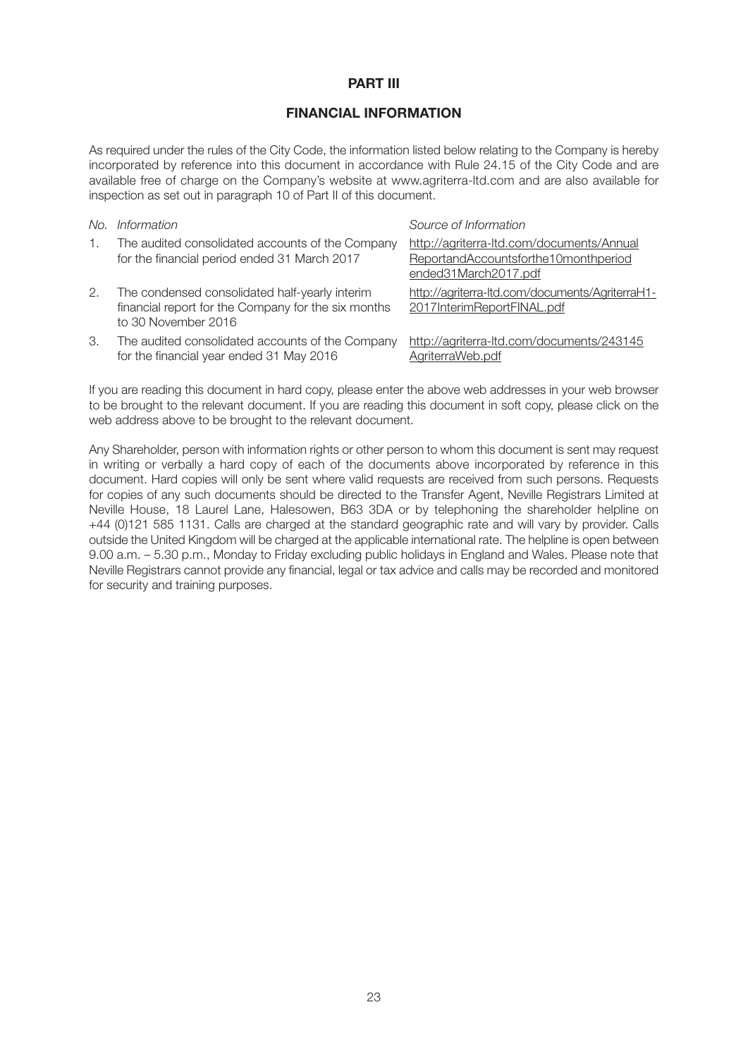#### **PART III**

#### **FINANCIAL INFORMATION**

As required under the rules of the City Code, the information listed below relating to the Company is hereby incorporated by reference into this document in accordance with Rule 24.15 of the City Code and are available free of charge on the Company's website at www.agriterra-ltd.com and are also available for inspection as set out in paragraph 10 of Part II of this document.

| No. | Information                                                                                                                  | Source of Information                                                                                     |
|-----|------------------------------------------------------------------------------------------------------------------------------|-----------------------------------------------------------------------------------------------------------|
| 1.  | The audited consolidated accounts of the Company<br>for the financial period ended 31 March 2017                             | http://agriterra-ltd.com/documents/Annual<br>ReportandAccountsforthe10monthperiod<br>ended31March2017.pdf |
| 2.  | The condensed consolidated half-yearly interim<br>financial report for the Company for the six months<br>to 30 November 2016 | http://agriterra-ltd.com/documents/AgriterraH1-<br>2017InterimReportFINAL.pdf                             |
| З.  | The audited consolidated accounts of the Company<br>for the financial year ended 31 May 2016                                 | http://agriterra-ltd.com/documents/243145<br>AgriterraWeb.pdf                                             |

If you are reading this document in hard copy, please enter the above web addresses in your web browser to be brought to the relevant document. If you are reading this document in soft copy, please click on the web address above to be brought to the relevant document.

Any Shareholder, person with information rights or other person to whom this document is sent may request in writing or verbally a hard copy of each of the documents above incorporated by reference in this document. Hard copies will only be sent where valid requests are received from such persons. Requests for copies of any such documents should be directed to the Transfer Agent, Neville Registrars Limited at Neville House, 18 Laurel Lane, Halesowen, B63 3DA or by telephoning the shareholder helpline on +44 (0)121 585 1131. Calls are charged at the standard geographic rate and will vary by provider. Calls outside the United Kingdom will be charged at the applicable international rate. The helpline is open between 9.00 a.m. – 5.30 p.m., Monday to Friday excluding public holidays in England and Wales. Please note that Neville Registrars cannot provide any financial, legal or tax advice and calls may be recorded and monitored for security and training purposes.